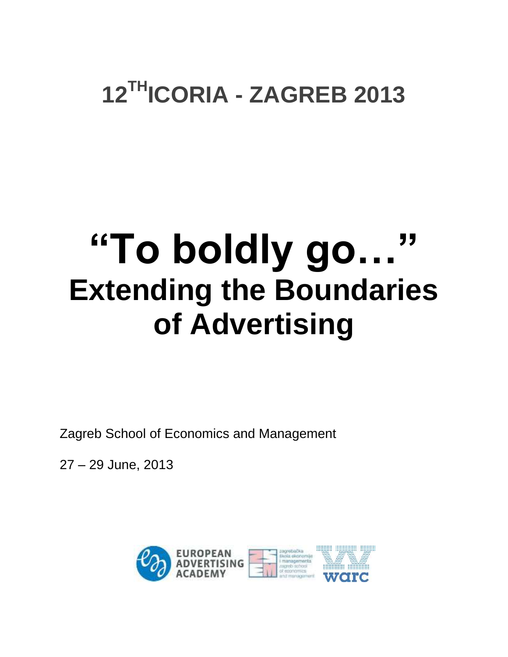### **12THICORIA - ZAGREB 2013**

# **"To boldly go…" Extending the Boundaries of Advertising**

Zagreb School of Economics and Management

27 – 29 June, 2013

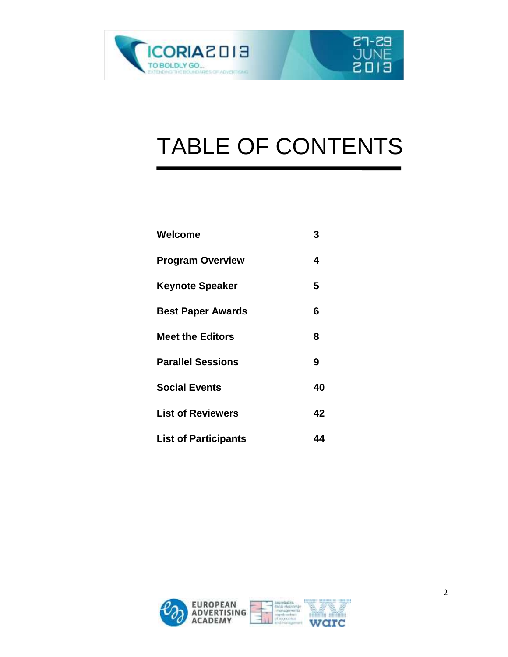

## TABLE OF CONTENTS

**27-29**<br>JUNE

ETOS

| Welcome                     | 3  |
|-----------------------------|----|
| <b>Program Overview</b>     | 4  |
| <b>Keynote Speaker</b>      | 5  |
| <b>Best Paper Awards</b>    | 6  |
| <b>Meet the Editors</b>     | 8  |
| <b>Parallel Sessions</b>    | 9  |
| <b>Social Events</b>        | 40 |
| <b>List of Reviewers</b>    | 42 |
| <b>List of Participants</b> | 44 |

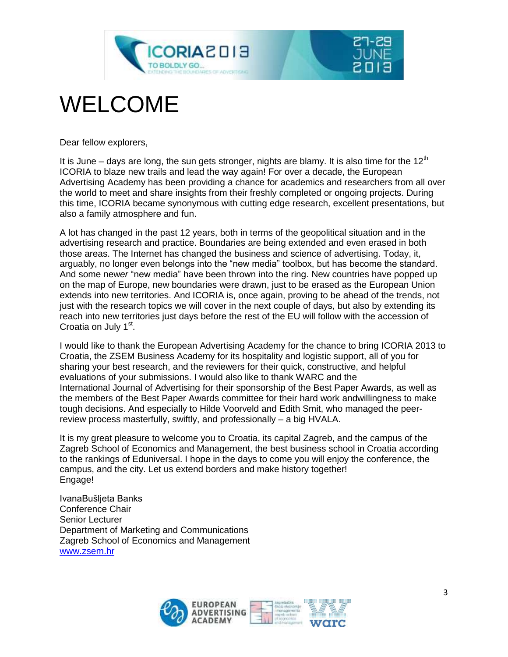

### WELCOME

Dear fellow explorers,

It is June – days are long, the sun gets stronger, nights are blamy. It is also time for the  $12<sup>th</sup>$ ICORIA to blaze new trails and lead the way again! For over a decade, the European Advertising Academy has been providing a chance for academics and researchers from all over the world to meet and share insights from their freshly completed or ongoing projects. During this time, ICORIA became synonymous with cutting edge research, excellent presentations, but also a family atmosphere and fun.

A lot has changed in the past 12 years, both in terms of the geopolitical situation and in the advertising research and practice. Boundaries are being extended and even erased in both those areas. The Internet has changed the business and science of advertising. Today, it, arguably, no longer even belongs into the "new media" toolbox, but has become the standard. And some new*er* "new media" have been thrown into the ring. New countries have popped up on the map of Europe, new boundaries were drawn, just to be erased as the European Union extends into new territories. And ICORIA is, once again, proving to be ahead of the trends, not just with the research topics we will cover in the next couple of days, but also by extending its reach into new territories just days before the rest of the EU will follow with the accession of Croatia on July 1<sup>st</sup>.

I would like to thank the European Advertising Academy for the chance to bring ICORIA 2013 to Croatia, the ZSEM Business Academy for its hospitality and logistic support, all of you for sharing your best research, and the reviewers for their quick, constructive, and helpful evaluations of your submissions. I would also like to thank WARC and the International Journal of Advertising for their sponsorship of the Best Paper Awards, as well as the members of the Best Paper Awards committee for their hard work andwillingness to make tough decisions. And especially to Hilde Voorveld and Edith Smit, who managed the peerreview process masterfully, swiftly, and professionally – a big HVALA.

It is my great pleasure to welcome you to Croatia, its capital Zagreb, and the campus of the Zagreb School of Economics and Management, the best business school in Croatia according to the rankings of Eduniversal. I hope in the days to come you will enjoy the conference, the campus, and the city. Let us extend borders and make history together! Engage!

IvanaBušljeta Banks Conference Chair Senior Lecturer Department of Marketing and Communications Zagreb School of Economics and Management [www.zsem.hr](http://www.zsem.hr/)

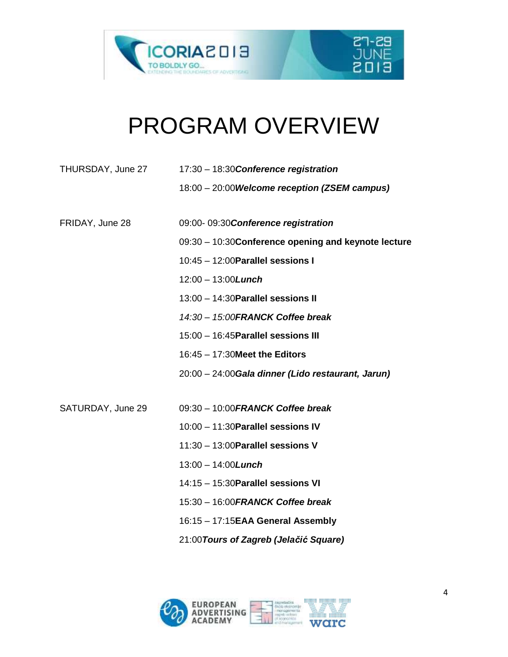



### PROGRAM OVERVIEW

| THURSDAY, June 27 | 17:30 - 18:30 Conference registration                |
|-------------------|------------------------------------------------------|
|                   | 18:00 - 20:00 Welcome reception (ZSEM campus)        |
| FRIDAY, June 28   | 09:00-09:30 Conference registration                  |
|                   | 09:30 - 10:30 Conference opening and keynote lecture |
|                   | 10:45 - 12:00 Parallel sessions I                    |
|                   | $12:00 - 13:00$ <i>Lunch</i>                         |
|                   | 13:00 - 14:30 Parallel sessions II                   |
|                   | 14:30 - 15:00 FRANCK Coffee break                    |
|                   | 15:00 - 16:45 Parallel sessions III                  |
|                   | 16:45 - 17:30 Meet the Editors                       |
|                   | 20:00 - 24:00 Gala dinner (Lido restaurant, Jarun)   |
|                   |                                                      |
| SATURDAY, June 29 | 09:30 - 10:00 FRANCK Coffee break                    |
|                   | 10:00 - 11:30 Parallel sessions IV                   |
|                   | 11:30 - 13:00 Parallel sessions V                    |
|                   | $13:00 - 14:00$ <i>Lunch</i>                         |
|                   | 14:15 - 15:30 Parallel sessions VI                   |
|                   | 15:30 - 16:00 FRANCK Coffee break                    |
|                   | 16:15 - 17:15EAA General Assembly                    |
|                   | 21:00 Tours of Zagreb (Jelačić Square)               |
|                   |                                                      |

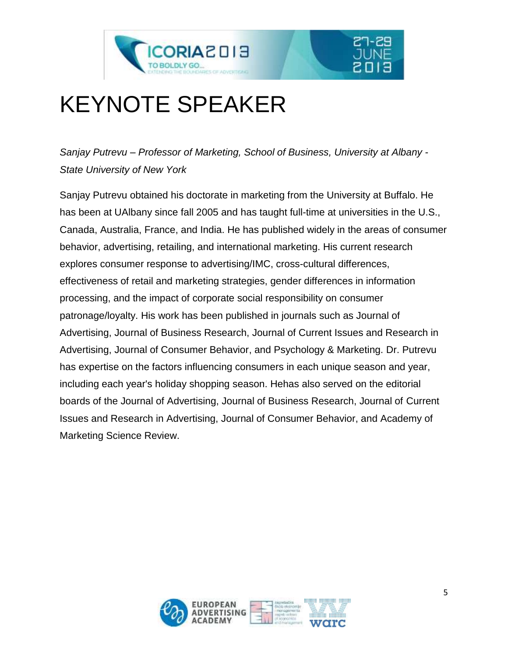

### KEYNOTE SPEAKER

*Sanjay Putrevu – Professor of Marketing, School of Business, University at Albany - State University of New York*

Sanjay Putrevu obtained his doctorate in marketing from the University at Buffalo. He has been at UAlbany since fall 2005 and has taught full-time at universities in the U.S., Canada, Australia, France, and India. He has published widely in the areas of consumer behavior, advertising, retailing, and international marketing. His current research explores consumer response to advertising/IMC, cross-cultural differences, effectiveness of retail and marketing strategies, gender differences in information processing, and the impact of corporate social responsibility on consumer patronage/loyalty. His work has been published in journals such as Journal of Advertising, Journal of Business Research, Journal of Current Issues and Research in Advertising, Journal of Consumer Behavior, and Psychology & Marketing. Dr. Putrevu has expertise on the factors influencing consumers in each unique season and year, including each year's holiday shopping season. Hehas also served on the editorial boards of the Journal of Advertising, Journal of Business Research, Journal of Current Issues and Research in Advertising, Journal of Consumer Behavior, and Academy of Marketing Science Review.

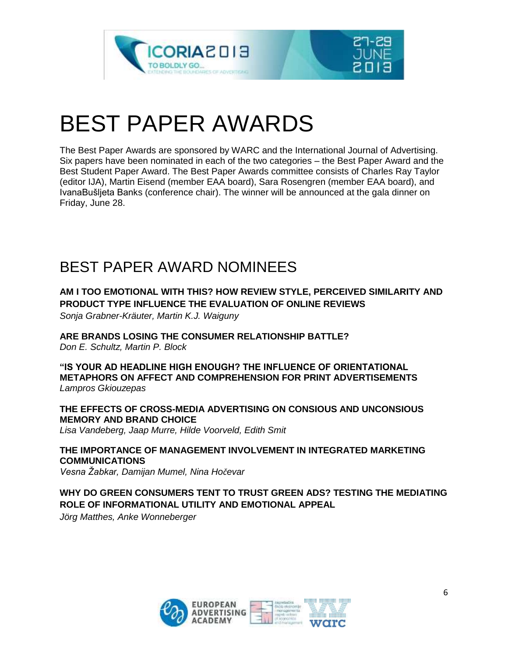



### BEST PAPER AWARDS

The Best Paper Awards are sponsored by WARC and the International Journal of Advertising. Six papers have been nominated in each of the two categories – the Best Paper Award and the Best Student Paper Award. The Best Paper Awards committee consists of Charles Ray Taylor (editor IJA), Martin Eisend (member EAA board), Sara Rosengren (member EAA board), and IvanaBušljeta Banks (conference chair). The winner will be announced at the gala dinner on Friday, June 28.

### BEST PAPER AWARD NOMINEES

#### **AM I TOO EMOTIONAL WITH THIS? HOW REVIEW STYLE, PERCEIVED SIMILARITY AND PRODUCT TYPE INFLUENCE THE EVALUATION OF ONLINE REVIEWS**

*Sonja Grabner-Kräuter, Martin K.J. Waiguny*

**ARE BRANDS LOSING THE CONSUMER RELATIONSHIP BATTLE?** *Don E. Schultz, Martin P. Block*

**"IS YOUR AD HEADLINE HIGH ENOUGH? THE INFLUENCE OF ORIENTATIONAL METAPHORS ON AFFECT AND COMPREHENSION FOR PRINT ADVERTISEMENTS** *Lampros Gkiouzepas*

**THE EFFECTS OF CROSS-MEDIA ADVERTISING ON CONSIOUS AND UNCONSIOUS MEMORY AND BRAND CHOICE**

*Lisa Vandeberg, Jaap Murre, Hilde Voorveld, Edith Smit*

**THE IMPORTANCE OF MANAGEMENT INVOLVEMENT IN INTEGRATED MARKETING COMMUNICATIONS** *Vesna Žabkar, Damijan Mumel, Nina Hočevar*

**WHY DO GREEN CONSUMERS TENT TO TRUST GREEN ADS? TESTING THE MEDIATING ROLE OF INFORMATIONAL UTILITY AND EMOTIONAL APPEAL**

*Jörg Matthes, Anke Wonneberger*

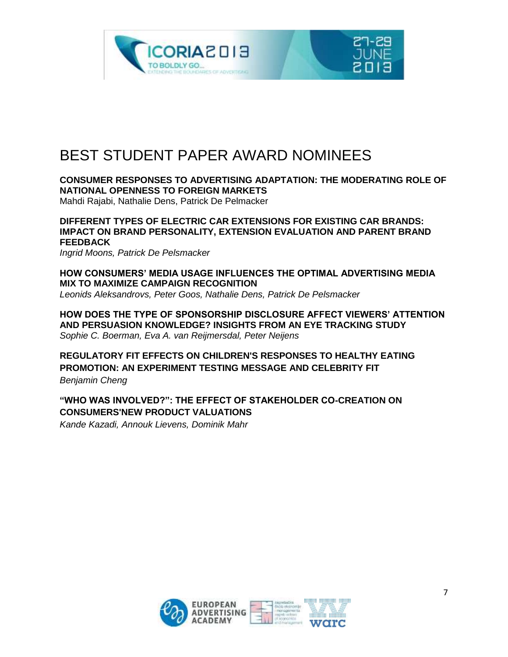

### BEST STUDENT PAPER AWARD NOMINEES

**CONSUMER RESPONSES TO ADVERTISING ADAPTATION: THE MODERATING ROLE OF NATIONAL OPENNESS TO FOREIGN MARKETS**  Mahdi Rajabi, Nathalie Dens, Patrick De Pelmacker

**DIFFERENT TYPES OF ELECTRIC CAR EXTENSIONS FOR EXISTING CAR BRANDS: IMPACT ON BRAND PERSONALITY, EXTENSION EVALUATION AND PARENT BRAND FEEDBACK**

*Ingrid Moons, Patrick De Pelsmacker*

**HOW CONSUMERS' MEDIA USAGE INFLUENCES THE OPTIMAL ADVERTISING MEDIA MIX TO MAXIMIZE CAMPAIGN RECOGNITION** *Leonids Aleksandrovs, Peter Goos, Nathalie Dens, Patrick De Pelsmacker*

**HOW DOES THE TYPE OF SPONSORSHIP DISCLOSURE AFFECT VIEWERS' ATTENTION AND PERSUASION KNOWLEDGE? INSIGHTS FROM AN EYE TRACKING STUDY** *Sophie C. Boerman, Eva A. van Reijmersdal, Peter Neijens*

**REGULATORY FIT EFFECTS ON CHILDREN'S RESPONSES TO HEALTHY EATING PROMOTION: AN EXPERIMENT TESTING MESSAGE AND CELEBRITY FIT** *Benjamin Cheng*

**"WHO WAS INVOLVED?": THE EFFECT OF STAKEHOLDER CO-CREATION ON CONSUMERS'NEW PRODUCT VALUATIONS**

*Kande Kazadi, Annouk Lievens, Dominik Mahr*

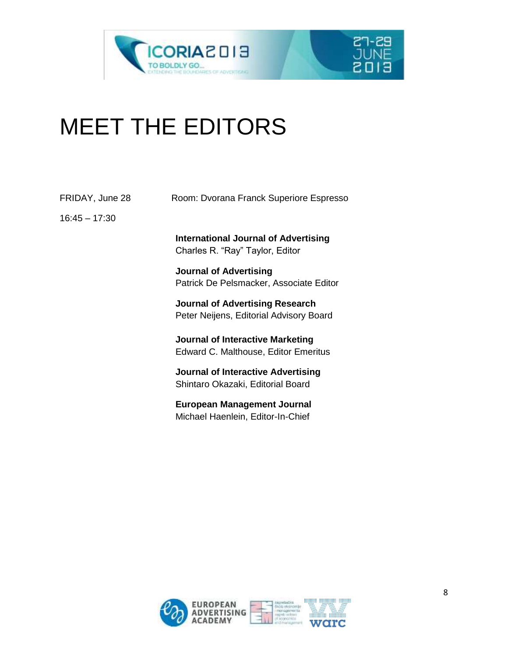



| FRIDAY, June 28 | Room: Dvorana Franck Superiore Espresso                                                |
|-----------------|----------------------------------------------------------------------------------------|
| $16:45 - 17:30$ |                                                                                        |
|                 | <b>International Journal of Advertising</b><br>Charles R. "Ray" Taylor, Editor         |
|                 | <b>Journal of Advertising</b><br>Patrick De Pelsmacker, Associate Editor               |
|                 | <b>Journal of Advertising Research</b><br>Peter Neijens, Editorial Advisory Board      |
|                 | <b>Journal of Interactive Marketing</b><br><b>Edward C. Malthouse, Editor Emeritus</b> |
|                 | <b>Journal of Interactive Advertising</b><br>Shintaro Okazaki, Editorial Board         |
|                 | <b>European Management Journal</b><br>Michael Haenlein, Editor-In-Chief                |
|                 |                                                                                        |

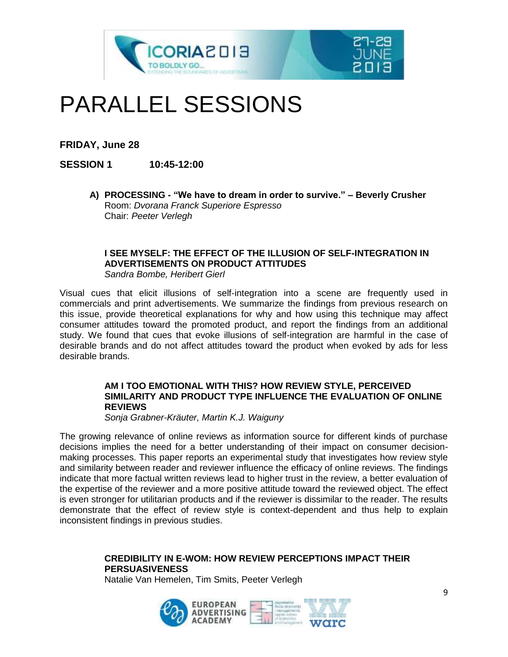

### PARALLEL SESSIONS

**FRIDAY, June 28**

**SESSION 1 10:45-12:00**

**A) PROCESSING - "We have to dream in order to survive." – Beverly Crusher** Room: *Dvorana Franck Superiore Espresso*  Chair: *Peeter Verlegh*

#### **I SEE MYSELF: THE EFFECT OF THE ILLUSION OF SELF-INTEGRATION IN ADVERTISEMENTS ON PRODUCT ATTITUDES**

*Sandra Bombe, Heribert Gierl*

Visual cues that elicit illusions of self-integration into a scene are frequently used in commercials and print advertisements. We summarize the findings from previous research on this issue, provide theoretical explanations for why and how using this technique may affect consumer attitudes toward the promoted product, and report the findings from an additional study. We found that cues that evoke illusions of self-integration are harmful in the case of desirable brands and do not affect attitudes toward the product when evoked by ads for less desirable brands.

#### **AM I TOO EMOTIONAL WITH THIS? HOW REVIEW STYLE, PERCEIVED SIMILARITY AND PRODUCT TYPE INFLUENCE THE EVALUATION OF ONLINE REVIEWS**

*Sonja Grabner-Kräuter, Martin K.J. Waiguny*

The growing relevance of online reviews as information source for different kinds of purchase decisions implies the need for a better understanding of their impact on consumer decisionmaking processes. This paper reports an experimental study that investigates how review style and similarity between reader and reviewer influence the efficacy of online reviews. The findings indicate that more factual written reviews lead to higher trust in the review, a better evaluation of the expertise of the reviewer and a more positive attitude toward the reviewed object. The effect is even stronger for utilitarian products and if the reviewer is dissimilar to the reader. The results demonstrate that the effect of review style is context-dependent and thus help to explain inconsistent findings in previous studies.

#### **CREDIBILITY IN E-WOM: HOW REVIEW PERCEPTIONS IMPACT THEIR PERSUASIVENESS**

Natalie Van Hemelen, Tim Smits, Peeter Verlegh

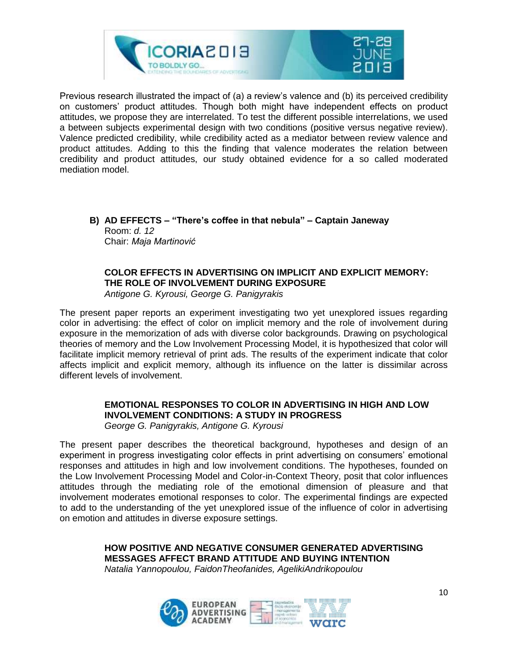

Previous research illustrated the impact of (a) a review's valence and (b) its perceived credibility on customers' product attitudes. Though both might have independent effects on product attitudes, we propose they are interrelated. To test the different possible interrelations, we used a between subjects experimental design with two conditions (positive versus negative review). Valence predicted credibility, while credibility acted as a mediator between review valence and product attitudes. Adding to this the finding that valence moderates the relation between credibility and product attitudes, our study obtained evidence for a so called moderated mediation model.

**B) AD EFFECTS – "There's coffee in that nebula" – Captain Janeway** Room: *d. 12* Chair: *Maja Martinović*

#### **COLOR EFFECTS IN ADVERTISING ON IMPLICIT AND EXPLICIT MEMORY: THE ROLE OF INVOLVEMENT DURING EXPOSURE** *Antigone G. Kyrousi, George G. Panigyrakis*

The present paper reports an experiment investigating two yet unexplored issues regarding color in advertising: the effect of color on implicit memory and the role of involvement during exposure in the memorization of ads with diverse color backgrounds. Drawing on psychological theories of memory and the Low Involvement Processing Model, it is hypothesized that color will facilitate implicit memory retrieval of print ads. The results of the experiment indicate that color affects implicit and explicit memory, although its influence on the latter is dissimilar across different levels of involvement.

#### **EMOTIONAL RESPONSES TO COLOR IN ADVERTISING IN HIGH AND LOW INVOLVEMENT CONDITIONS: A STUDY IN PROGRESS**

*George G. Panigyrakis, Antigone G. Kyrousi*

The present paper describes the theoretical background, hypotheses and design of an experiment in progress investigating color effects in print advertising on consumers' emotional responses and attitudes in high and low involvement conditions. The hypotheses, founded on the Low Involvement Processing Model and Color-in-Context Theory, posit that color influences attitudes through the mediating role of the emotional dimension of pleasure and that involvement moderates emotional responses to color. The experimental findings are expected to add to the understanding of the yet unexplored issue of the influence of color in advertising on emotion and attitudes in diverse exposure settings.

> **HOW POSITIVE AND NEGATIVE CONSUMER GENERATED ADVERTISING MESSAGES AFFECT BRAND ATTITUDE AND BUYING INTENTION** *Natalia Yannopoulou, FaidonTheofanides, AgelikiAndrikopoulou*

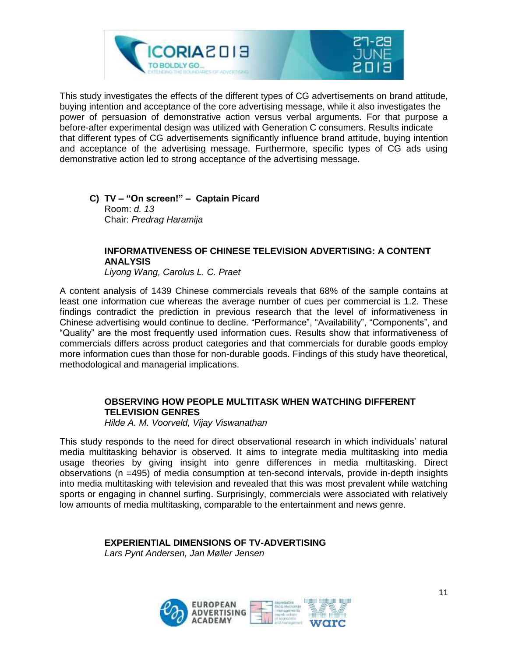

This study investigates the effects of the different types of CG advertisements on brand attitude, buying intention and acceptance of the core advertising message, while it also investigates the power of persuasion of demonstrative action versus verbal arguments. For that purpose a before-after experimental design was utilized with Generation C consumers. Results indicate that different types of CG advertisements significantly influence brand attitude, buying intention and acceptance of the advertising message. Furthermore, specific types of CG ads using demonstrative action led to strong acceptance of the advertising message.

**C) TV – "On screen!" – Captain Picard** Room: *d. 13* Chair: *Predrag Haramija*

#### **INFORMATIVENESS OF CHINESE TELEVISION ADVERTISING: A CONTENT ANALYSIS**

*Liyong Wang, Carolus L. C. Praet*

A content analysis of 1439 Chinese commercials reveals that 68% of the sample contains at least one information cue whereas the average number of cues per commercial is 1.2. These findings contradict the prediction in previous research that the level of informativeness in Chinese advertising would continue to decline. "Performance", "Availability", "Components", and "Quality" are the most frequently used information cues. Results show that informativeness of commercials differs across product categories and that commercials for durable goods employ more information cues than those for non-durable goods. Findings of this study have theoretical, methodological and managerial implications.

#### **OBSERVING HOW PEOPLE MULTITASK WHEN WATCHING DIFFERENT TELEVISION GENRES**

*Hilde A. M. Voorveld, Vijay Viswanathan*

This study responds to the need for direct observational research in which individuals' natural media multitasking behavior is observed. It aims to integrate media multitasking into media usage theories by giving insight into genre differences in media multitasking. Direct observations (n =495) of media consumption at ten-second intervals, provide in-depth insights into media multitasking with television and revealed that this was most prevalent while watching sports or engaging in channel surfing. Surprisingly, commercials were associated with relatively low amounts of media multitasking, comparable to the entertainment and news genre.

**EXPERIENTIAL DIMENSIONS OF TV-ADVERTISING**

*Lars Pynt Andersen, Jan Møller Jensen*

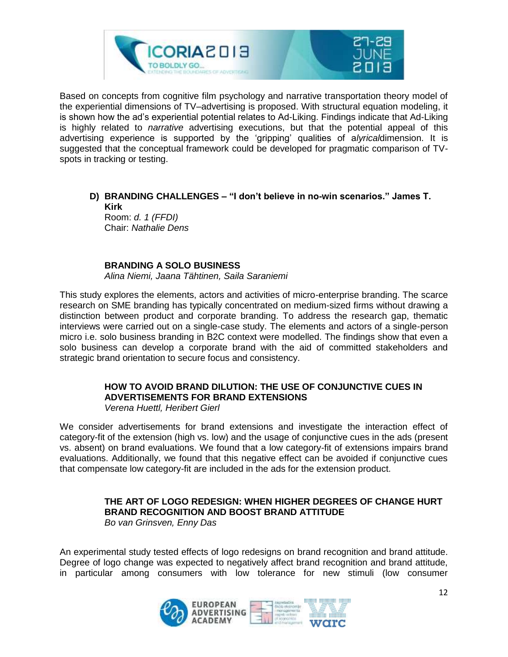

Based on concepts from cognitive film psychology and narrative transportation theory model of the experiential dimensions of TV–advertising is proposed. With structural equation modeling, it is shown how the ad's experiential potential relates to Ad-Liking. Findings indicate that Ad-Liking is highly related to *narrative* advertising executions, but that the potential appeal of this advertising experience is supported by the 'gripping' qualities of a*lyrical*dimension. It is suggested that the conceptual framework could be developed for pragmatic comparison of TVspots in tracking or testing.

#### **D) BRANDING CHALLENGES – "I don't believe in no-win scenarios." James T. Kirk** Room: *d. 1 (FFDI)*

Chair: *Nathalie Dens*

#### **BRANDING A SOLO BUSINESS**

*Alina Niemi, Jaana Tähtinen, Saila Saraniemi*

This study explores the elements, actors and activities of micro-enterprise branding. The scarce research on SME branding has typically concentrated on medium-sized firms without drawing a distinction between product and corporate branding. To address the research gap, thematic interviews were carried out on a single-case study. The elements and actors of a single-person micro i.e. solo business branding in B2C context were modelled. The findings show that even a solo business can develop a corporate brand with the aid of committed stakeholders and strategic brand orientation to secure focus and consistency.

#### **HOW TO AVOID BRAND DILUTION: THE USE OF CONJUNCTIVE CUES IN ADVERTISEMENTS FOR BRAND EXTENSIONS**

*Verena Huettl, Heribert Gierl*

We consider advertisements for brand extensions and investigate the interaction effect of category-fit of the extension (high vs. low) and the usage of conjunctive cues in the ads (present vs. absent) on brand evaluations. We found that a low category-fit of extensions impairs brand evaluations. Additionally, we found that this negative effect can be avoided if conjunctive cues that compensate low category-fit are included in the ads for the extension product.

#### **THE ART OF LOGO REDESIGN: WHEN HIGHER DEGREES OF CHANGE HURT BRAND RECOGNITION AND BOOST BRAND ATTITUDE**

*Bo van Grinsven, Enny Das*

An experimental study tested effects of logo redesigns on brand recognition and brand attitude. Degree of logo change was expected to negatively affect brand recognition and brand attitude, in particular among consumers with low tolerance for new stimuli (low consumer

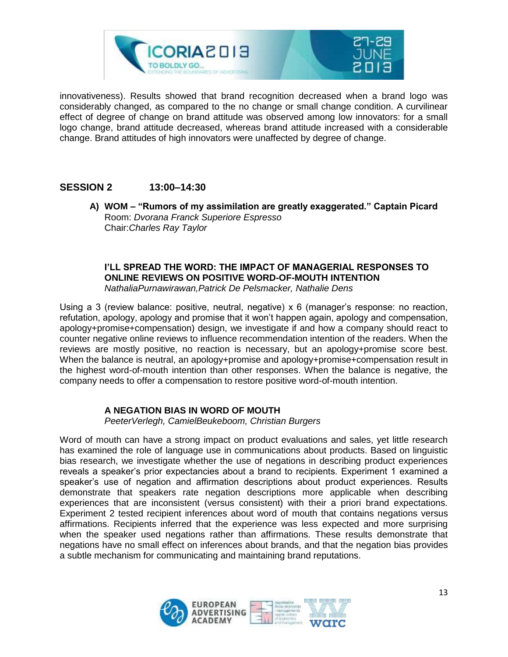

innovativeness). Results showed that brand recognition decreased when a brand logo was considerably changed, as compared to the no change or small change condition. A curvilinear effect of degree of change on brand attitude was observed among low innovators: for a small logo change, brand attitude decreased, whereas brand attitude increased with a considerable change. Brand attitudes of high innovators were unaffected by degree of change.

#### **SESSION 2 13:00–14:30**

**A) WOM – "Rumors of my assimilation are greatly exaggerated." Captain Picard** Room: *Dvorana Franck Superiore Espresso* Chair:*Charles Ray Taylor*

#### **I'LL SPREAD THE WORD: THE IMPACT OF MANAGERIAL RESPONSES TO ONLINE REVIEWS ON POSITIVE WORD-OF-MOUTH INTENTION** *NathaliaPurnawirawan,Patrick De Pelsmacker, Nathalie Dens*

Using a 3 (review balance: positive, neutral, negative) x 6 (manager's response: no reaction, refutation, apology, apology and promise that it won't happen again, apology and compensation, apology+promise+compensation) design, we investigate if and how a company should react to counter negative online reviews to influence recommendation intention of the readers. When the reviews are mostly positive, no reaction is necessary, but an apology+promise score best. When the balance is neutral, an apology+promise and apology+promise+compensation result in the highest word-of-mouth intention than other responses. When the balance is negative, the company needs to offer a compensation to restore positive word-of-mouth intention.

#### **A NEGATION BIAS IN WORD OF MOUTH**

*PeeterVerlegh, CamielBeukeboom, Christian Burgers*

Word of mouth can have a strong impact on product evaluations and sales, yet little research has examined the role of language use in communications about products. Based on linguistic bias research, we investigate whether the use of negations in describing product experiences reveals a speaker's prior expectancies about a brand to recipients. Experiment 1 examined a speaker's use of negation and affirmation descriptions about product experiences. Results demonstrate that speakers rate negation descriptions more applicable when describing experiences that are inconsistent (versus consistent) with their a priori brand expectations. Experiment 2 tested recipient inferences about word of mouth that contains negations versus affirmations. Recipients inferred that the experience was less expected and more surprising when the speaker used negations rather than affirmations. These results demonstrate that negations have no small effect on inferences about brands, and that the negation bias provides a subtle mechanism for communicating and maintaining brand reputations.

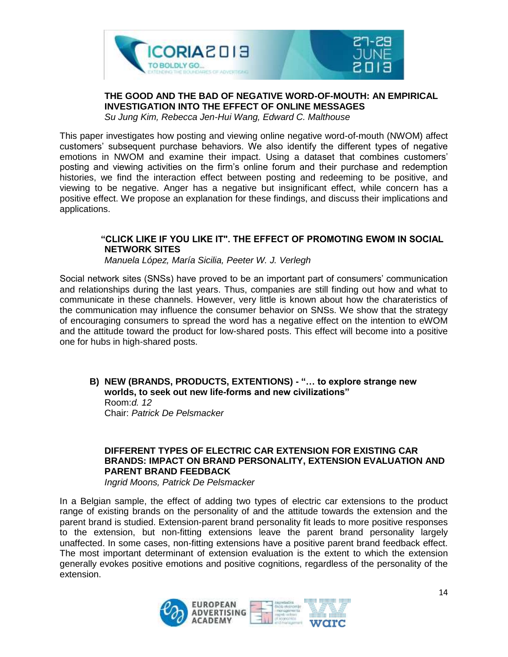

#### **THE GOOD AND THE BAD OF NEGATIVE WORD-OF-MOUTH: AN EMPIRICAL INVESTIGATION INTO THE EFFECT OF ONLINE MESSAGES**

*Su Jung Kim, Rebecca Jen-Hui Wang, Edward C. Malthouse*

This paper investigates how posting and viewing online negative word-of-mouth (NWOM) affect customers' subsequent purchase behaviors. We also identify the different types of negative emotions in NWOM and examine their impact. Using a dataset that combines customers' posting and viewing activities on the firm's online forum and their purchase and redemption histories, we find the interaction effect between posting and redeeming to be positive, and viewing to be negative. Anger has a negative but insignificant effect, while concern has a positive effect. We propose an explanation for these findings, and discuss their implications and applications.

#### **"CLICK LIKE IF YOU LIKE IT". THE EFFECT OF PROMOTING EWOM IN SOCIAL NETWORK SITES**

*Manuela López, María Sicilia, Peeter W. J. Verlegh*

Social network sites (SNSs) have proved to be an important part of consumers' communication and relationships during the last years. Thus, companies are still finding out how and what to communicate in these channels. However, very little is known about how the charateristics of the communication may influence the consumer behavior on SNSs. We show that the strategy of encouraging consumers to spread the word has a negative effect on the intention to eWOM and the attitude toward the product for low-shared posts. This effect will become into a positive one for hubs in high-shared posts.

**B) NEW (BRANDS, PRODUCTS, EXTENTIONS) - "… to explore strange new worlds, to seek out new life-forms and new civilizations"** Room:*d. 12* Chair: *Patrick De Pelsmacker*

#### **DIFFERENT TYPES OF ELECTRIC CAR EXTENSION FOR EXISTING CAR BRANDS: IMPACT ON BRAND PERSONALITY, EXTENSION EVALUATION AND PARENT BRAND FEEDBACK**

*Ingrid Moons, Patrick De Pelsmacker*

In a Belgian sample, the effect of adding two types of electric car extensions to the product range of existing brands on the personality of and the attitude towards the extension and the parent brand is studied. Extension-parent brand personality fit leads to more positive responses to the extension, but non-fitting extensions leave the parent brand personality largely unaffected. In some cases, non-fitting extensions have a positive parent brand feedback effect. The most important determinant of extension evaluation is the extent to which the extension generally evokes positive emotions and positive cognitions, regardless of the personality of the extension.

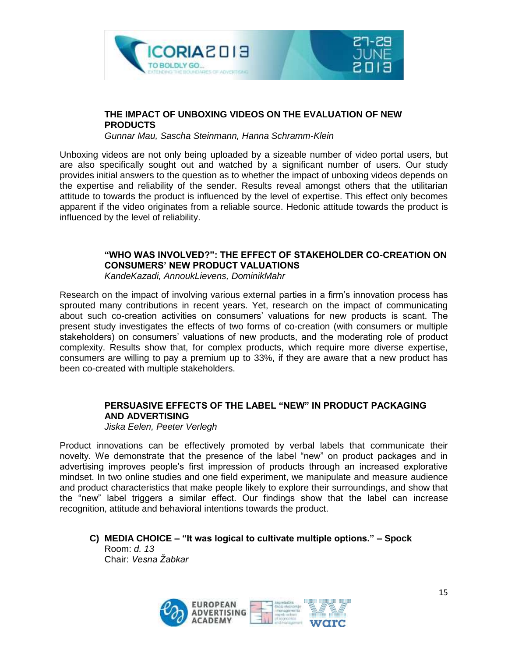



#### **THE IMPACT OF UNBOXING VIDEOS ON THE EVALUATION OF NEW PRODUCTS**

*Gunnar Mau, Sascha Steinmann, Hanna Schramm-Klein*

Unboxing videos are not only being uploaded by a sizeable number of video portal users, but are also specifically sought out and watched by a significant number of users. Our study provides initial answers to the question as to whether the impact of unboxing videos depends on the expertise and reliability of the sender. Results reveal amongst others that the utilitarian attitude to towards the product is influenced by the level of expertise. This effect only becomes apparent if the video originates from a reliable source. Hedonic attitude towards the product is influenced by the level of reliability.

#### **"WHO WAS INVOLVED?": THE EFFECT OF STAKEHOLDER CO-CREATION ON CONSUMERS' NEW PRODUCT VALUATIONS**

*KandeKazadi, AnnoukLievens, DominikMahr*

Research on the impact of involving various external parties in a firm's innovation process has sprouted many contributions in recent years. Yet, research on the impact of communicating about such co-creation activities on consumers' valuations for new products is scant. The present study investigates the effects of two forms of co-creation (with consumers or multiple stakeholders) on consumers' valuations of new products, and the moderating role of product complexity. Results show that, for complex products, which require more diverse expertise, consumers are willing to pay a premium up to 33%, if they are aware that a new product has been co-created with multiple stakeholders.

#### **PERSUASIVE EFFECTS OF THE LABEL "NEW" IN PRODUCT PACKAGING AND ADVERTISING**

*Jiska Eelen, Peeter Verlegh*

Product innovations can be effectively promoted by verbal labels that communicate their novelty. We demonstrate that the presence of the label "new" on product packages and in advertising improves people's first impression of products through an increased explorative mindset. In two online studies and one field experiment, we manipulate and measure audience and product characteristics that make people likely to explore their surroundings, and show that the "new" label triggers a similar effect. Our findings show that the label can increase recognition, attitude and behavioral intentions towards the product.

**C) MEDIA CHOICE – "It was logical to cultivate multiple options." – Spock** Room: *d. 13* Chair: *Vesna Žabkar*

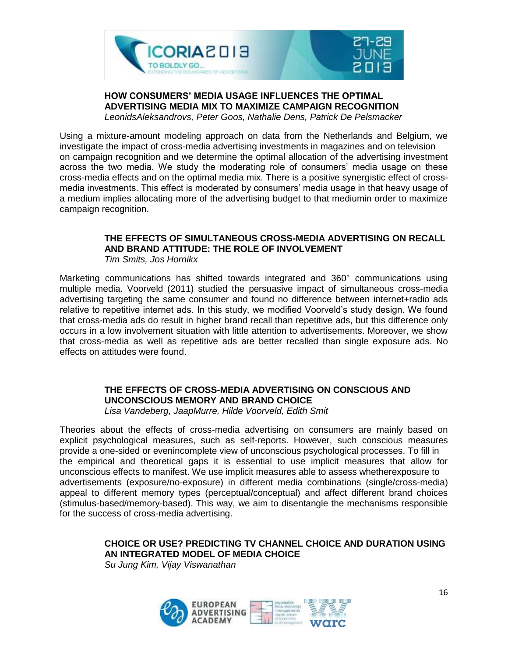



**HOW CONSUMERS' MEDIA USAGE INFLUENCES THE OPTIMAL ADVERTISING MEDIA MIX TO MAXIMIZE CAMPAIGN RECOGNITION** *LeonidsAleksandrovs, Peter Goos, Nathalie Dens, Patrick De Pelsmacker*

Using a mixture-amount modeling approach on data from the Netherlands and Belgium, we investigate the impact of cross-media advertising investments in magazines and on television on campaign recognition and we determine the optimal allocation of the advertising investment across the two media. We study the moderating role of consumers' media usage on these cross-media effects and on the optimal media mix. There is a positive synergistic effect of crossmedia investments. This effect is moderated by consumers' media usage in that heavy usage of a medium implies allocating more of the advertising budget to that mediumin order to maximize campaign recognition.

#### **THE EFFECTS OF SIMULTANEOUS CROSS-MEDIA ADVERTISING ON RECALL AND BRAND ATTITUDE: THE ROLE OF INVOLVEMENT**

*Tim Smits, Jos Hornikx*

Marketing communications has shifted towards integrated and 360° communications using multiple media. Voorveld (2011) studied the persuasive impact of simultaneous cross-media advertising targeting the same consumer and found no difference between internet+radio ads relative to repetitive internet ads. In this study, we modified Voorveld's study design. We found that cross-media ads do result in higher brand recall than repetitive ads, but this difference only occurs in a low involvement situation with little attention to advertisements. Moreover, we show that cross-media as well as repetitive ads are better recalled than single exposure ads. No effects on attitudes were found.

#### **THE EFFECTS OF CROSS-MEDIA ADVERTISING ON CONSCIOUS AND UNCONSCIOUS MEMORY AND BRAND CHOICE**

*Lisa Vandeberg, JaapMurre, Hilde Voorveld, Edith Smit*

Theories about the effects of cross-media advertising on consumers are mainly based on explicit psychological measures, such as self-reports. However, such conscious measures provide a one-sided or evenincomplete view of unconscious psychological processes. To fill in the empirical and theoretical gaps it is essential to use implicit measures that allow for unconscious effects to manifest. We use implicit measures able to assess whetherexposure to advertisements (exposure/no-exposure) in different media combinations (single/cross-media) appeal to different memory types (perceptual/conceptual) and affect different brand choices (stimulus-based/memory-based). This way, we aim to disentangle the mechanisms responsible for the success of cross-media advertising.

#### **CHOICE OR USE? PREDICTING TV CHANNEL CHOICE AND DURATION USING AN INTEGRATED MODEL OF MEDIA CHOICE**

*Su Jung Kim, Vijay Viswanathan*

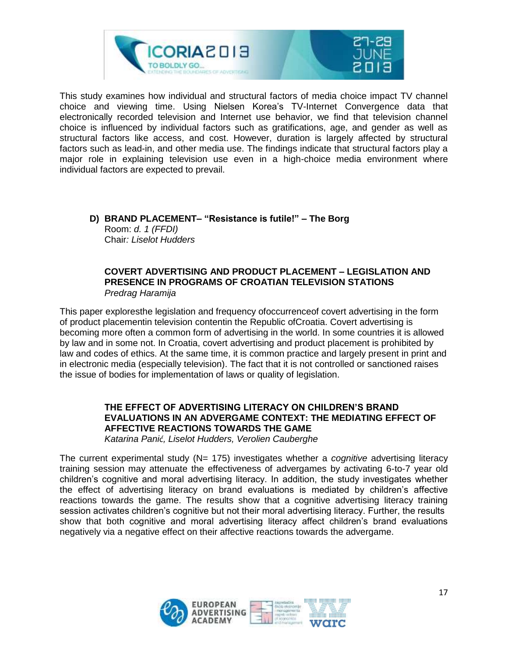

This study examines how individual and structural factors of media choice impact TV channel choice and viewing time. Using Nielsen Korea's TV-Internet Convergence data that electronically recorded television and Internet use behavior, we find that television channel choice is influenced by individual factors such as gratifications, age, and gender as well as structural factors like access, and cost. However, duration is largely affected by structural factors such as lead-in, and other media use. The findings indicate that structural factors play a major role in explaining television use even in a high-choice media environment where individual factors are expected to prevail.

#### **D) BRAND PLACEMENT– "Resistance is futile!" – The Borg** Room: *d. 1 (FFDI)* Chair*: Liselot Hudders*

#### **COVERT ADVERTISING AND PRODUCT PLACEMENT – LEGISLATION AND PRESENCE IN PROGRAMS OF CROATIAN TELEVISION STATIONS** *Predrag Haramija*

This paper exploresthe legislation and frequency ofoccurrenceof covert advertising in the form of product placementin television contentin the Republic ofCroatia. Covert advertising is becoming more often a common form of advertising in the world. In some countries it is allowed by law and in some not. In Croatia, covert advertising and product placement is prohibited by law and codes of ethics. At the same time, it is common practice and largely present in print and in electronic media (especially television). The fact that it is not controlled or sanctioned raises the issue of bodies for implementation of laws or quality of legislation.

#### **THE EFFECT OF ADVERTISING LITERACY ON CHILDREN'S BRAND EVALUATIONS IN AN ADVERGAME CONTEXT: THE MEDIATING EFFECT OF AFFECTIVE REACTIONS TOWARDS THE GAME**

*Katarina Panić, Liselot Hudders, Verolien Cauberghe*

The current experimental study (N= 175) investigates whether a *cognitive* advertising literacy training session may attenuate the effectiveness of advergames by activating 6-to-7 year old children's cognitive and moral advertising literacy. In addition, the study investigates whether the effect of advertising literacy on brand evaluations is mediated by children's affective reactions towards the game. The results show that a cognitive advertising literacy training session activates children's cognitive but not their moral advertising literacy. Further, the results show that both cognitive and moral advertising literacy affect children's brand evaluations negatively via a negative effect on their affective reactions towards the advergame.

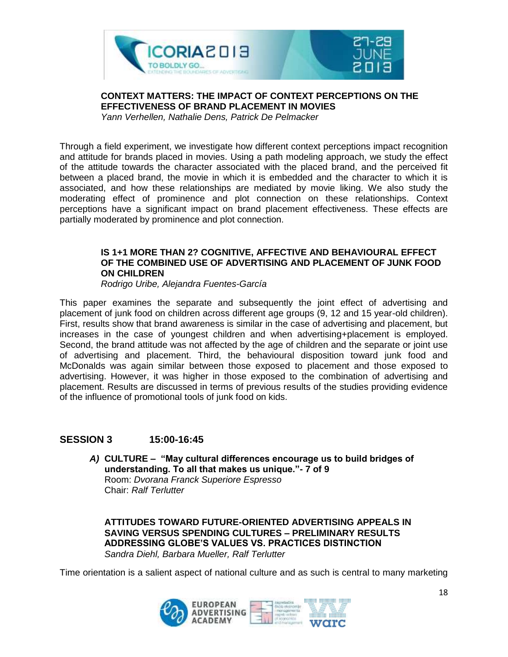

**CONTEXT MATTERS: THE IMPACT OF CONTEXT PERCEPTIONS ON THE EFFECTIVENESS OF BRAND PLACEMENT IN MOVIES**

*Yann Verhellen, Nathalie Dens, Patrick De Pelmacker*

Through a field experiment, we investigate how different context perceptions impact recognition and attitude for brands placed in movies. Using a path modeling approach, we study the effect of the attitude towards the character associated with the placed brand, and the perceived fit between a placed brand, the movie in which it is embedded and the character to which it is associated, and how these relationships are mediated by movie liking. We also study the moderating effect of prominence and plot connection on these relationships. Context perceptions have a significant impact on brand placement effectiveness. These effects are partially moderated by prominence and plot connection.

#### **IS 1+1 MORE THAN 2? COGNITIVE, AFFECTIVE AND BEHAVIOURAL EFFECT OF THE COMBINED USE OF ADVERTISING AND PLACEMENT OF JUNK FOOD ON CHILDREN**

*Rodrigo Uribe, Alejandra Fuentes-García*

This paper examines the separate and subsequently the joint effect of advertising and placement of junk food on children across different age groups (9, 12 and 15 year-old children). First, results show that brand awareness is similar in the case of advertising and placement, but increases in the case of youngest children and when advertising+placement is employed. Second, the brand attitude was not affected by the age of children and the separate or joint use of advertising and placement. Third, the behavioural disposition toward junk food and McDonalds was again similar between those exposed to placement and those exposed to advertising. However, it was higher in those exposed to the combination of advertising and placement. Results are discussed in terms of previous results of the studies providing evidence of the influence of promotional tools of junk food on kids.

#### **SESSION 3 15:00-16:45**

*A)* **CULTURE – "May cultural differences encourage us to build bridges of understanding. To all that makes us unique."- 7 of 9**  Room: *Dvorana Franck Superiore Espresso* Chair: *Ralf Terlutter*

**ATTITUDES TOWARD FUTURE-ORIENTED ADVERTISING APPEALS IN SAVING VERSUS SPENDING CULTURES – PRELIMINARY RESULTS ADDRESSING GLOBE'S VALUES VS. PRACTICES DISTINCTION** *Sandra Diehl, Barbara Mueller, Ralf Terlutter*

Time orientation is a salient aspect of national culture and as such is central to many marketing

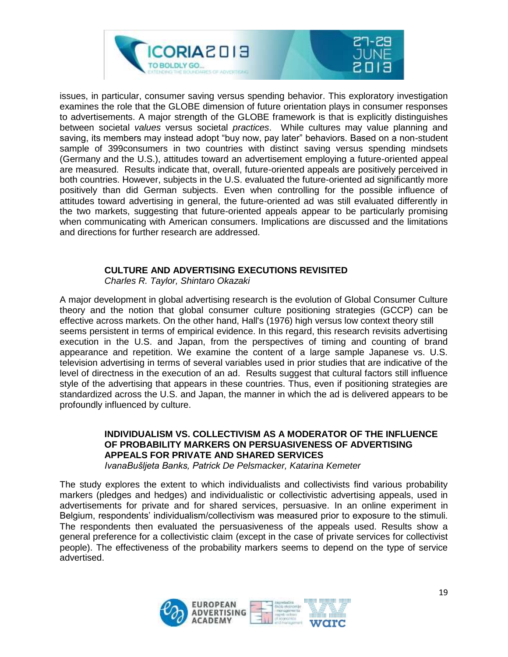

issues, in particular, consumer saving versus spending behavior. This exploratory investigation examines the role that the GLOBE dimension of future orientation plays in consumer responses to advertisements. A major strength of the GLOBE framework is that is explicitly distinguishes between societal *values* versus societal *practices*. While cultures may value planning and saving, its members may instead adopt "buy now, pay later" behaviors. Based on a non-student sample of 399consumers in two countries with distinct saving versus spending mindsets (Germany and the U.S.), attitudes toward an advertisement employing a future-oriented appeal are measured. Results indicate that, overall, future-oriented appeals are positively perceived in both countries. However, subjects in the U.S. evaluated the future-oriented ad significantly more positively than did German subjects. Even when controlling for the possible influence of attitudes toward advertising in general, the future-oriented ad was still evaluated differently in the two markets, suggesting that future-oriented appeals appear to be particularly promising when communicating with American consumers. Implications are discussed and the limitations and directions for further research are addressed.

#### **CULTURE AND ADVERTISING EXECUTIONS REVISITED**

*Charles R. Taylor, Shintaro Okazaki*

A major development in global advertising research is the evolution of Global Consumer Culture theory and the notion that global consumer culture positioning strategies (GCCP) can be effective across markets. On the other hand, Hall's (1976) high versus low context theory still seems persistent in terms of empirical evidence. In this regard, this research revisits advertising execution in the U.S. and Japan, from the perspectives of timing and counting of brand appearance and repetition. We examine the content of a large sample Japanese vs. U.S. television advertising in terms of several variables used in prior studies that are indicative of the level of directness in the execution of an ad. Results suggest that cultural factors still influence style of the advertising that appears in these countries. Thus, even if positioning strategies are standardized across the U.S. and Japan, the manner in which the ad is delivered appears to be profoundly influenced by culture.

#### **INDIVIDUALISM VS. COLLECTIVISM AS A MODERATOR OF THE INFLUENCE OF PROBABILITY MARKERS ON PERSUASIVENESS OF ADVERTISING APPEALS FOR PRIVATE AND SHARED SERVICES**

*IvanaBušljeta Banks, Patrick De Pelsmacker, Katarina Kemeter*

The study explores the extent to which individualists and collectivists find various probability markers (pledges and hedges) and individualistic or collectivistic advertising appeals, used in advertisements for private and for shared services, persuasive. In an online experiment in Belgium, respondents' individualism/collectivism was measured prior to exposure to the stimuli. The respondents then evaluated the persuasiveness of the appeals used. Results show a general preference for a collectivistic claim (except in the case of private services for collectivist people). The effectiveness of the probability markers seems to depend on the type of service advertised.

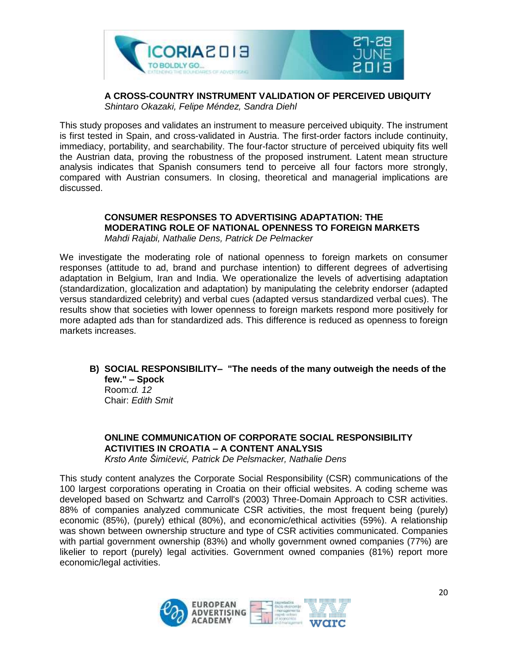

#### **A CROSS-COUNTRY INSTRUMENT VALIDATION OF PERCEIVED UBIQUITY** *Shintaro Okazaki, Felipe Méndez, Sandra Diehl*

This study proposes and validates an instrument to measure perceived ubiquity. The instrument is first tested in Spain, and cross-validated in Austria. The first-order factors include continuity, immediacy, portability, and searchability. The four-factor structure of perceived ubiquity fits well the Austrian data, proving the robustness of the proposed instrument. Latent mean structure analysis indicates that Spanish consumers tend to perceive all four factors more strongly, compared with Austrian consumers. In closing, theoretical and managerial implications are discussed.

#### **CONSUMER RESPONSES TO ADVERTISING ADAPTATION: THE MODERATING ROLE OF NATIONAL OPENNESS TO FOREIGN MARKETS**

*Mahdi Rajabi, Nathalie Dens, Patrick De Pelmacker*

We investigate the moderating role of national openness to foreign markets on consumer responses (attitude to ad, brand and purchase intention) to different degrees of advertising adaptation in Belgium, Iran and India. We operationalize the levels of advertising adaptation (standardization, glocalization and adaptation) by manipulating the celebrity endorser (adapted versus standardized celebrity) and verbal cues (adapted versus standardized verbal cues). The results show that societies with lower openness to foreign markets respond more positively for more adapted ads than for standardized ads. This difference is reduced as openness to foreign markets increases.

**B) SOCIAL RESPONSIBILITY– "The needs of the many outweigh the needs of the few." – Spock** Room:*d. 12* Chair: *Edith Smit*

**ONLINE COMMUNICATION OF CORPORATE SOCIAL RESPONSIBILITY ACTIVITIES IN CROATIA – A CONTENT ANALYSIS** *Krsto Ante Šimičević, Patrick De Pelsmacker, Nathalie Dens*

This study content analyzes the Corporate Social Responsibility (CSR) communications of the 100 largest corporations operating in Croatia on their official websites. A coding scheme was developed based on Schwartz and Carroll's (2003) Three-Domain Approach to CSR activities. 88% of companies analyzed communicate CSR activities, the most frequent being (purely) economic (85%), (purely) ethical (80%), and economic/ethical activities (59%). A relationship was shown between ownership structure and type of CSR activities communicated. Companies with partial government ownership (83%) and wholly government owned companies (77%) are likelier to report (purely) legal activities. Government owned companies (81%) report more economic/legal activities.

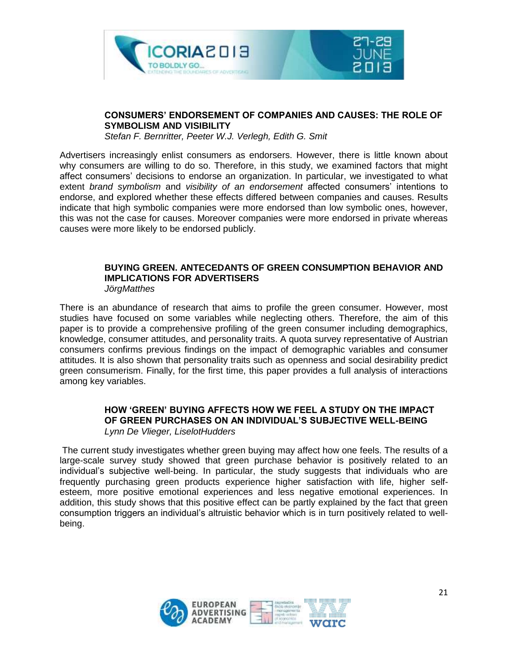



#### **CONSUMERS' ENDORSEMENT OF COMPANIES AND CAUSES: THE ROLE OF SYMBOLISM AND VISIBILITY**

*Stefan F. Bernritter, Peeter W.J. Verlegh, Edith G. Smit*

Advertisers increasingly enlist consumers as endorsers. However, there is little known about why consumers are willing to do so. Therefore, in this study, we examined factors that might affect consumers' decisions to endorse an organization. In particular, we investigated to what extent *brand symbolism* and *visibility of an endorsement* affected consumers' intentions to endorse, and explored whether these effects differed between companies and causes. Results indicate that high symbolic companies were more endorsed than low symbolic ones, however, this was not the case for causes. Moreover companies were more endorsed in private whereas causes were more likely to be endorsed publicly.

#### **BUYING GREEN. ANTECEDANTS OF GREEN CONSUMPTION BEHAVIOR AND IMPLICATIONS FOR ADVERTISERS** *JörgMatthes*

There is an abundance of research that aims to profile the green consumer. However, most studies have focused on some variables while neglecting others. Therefore, the aim of this paper is to provide a comprehensive profiling of the green consumer including demographics, knowledge, consumer attitudes, and personality traits. A quota survey representative of Austrian consumers confirms previous findings on the impact of demographic variables and consumer attitudes. It is also shown that personality traits such as openness and social desirability predict green consumerism. Finally, for the first time, this paper provides a full analysis of interactions among key variables.

#### **HOW 'GREEN' BUYING AFFECTS HOW WE FEEL A STUDY ON THE IMPACT OF GREEN PURCHASES ON AN INDIVIDUAL'S SUBJECTIVE WELL-BEING** *Lynn De Vlieger, LiselotHudders*

The current study investigates whether green buying may affect how one feels. The results of a large-scale survey study showed that green purchase behavior is positively related to an individual's subjective well-being. In particular, the study suggests that individuals who are frequently purchasing green products experience higher satisfaction with life, higher selfesteem, more positive emotional experiences and less negative emotional experiences. In addition, this study shows that this positive effect can be partly explained by the fact that green consumption triggers an individual's altruistic behavior which is in turn positively related to wellbeing.

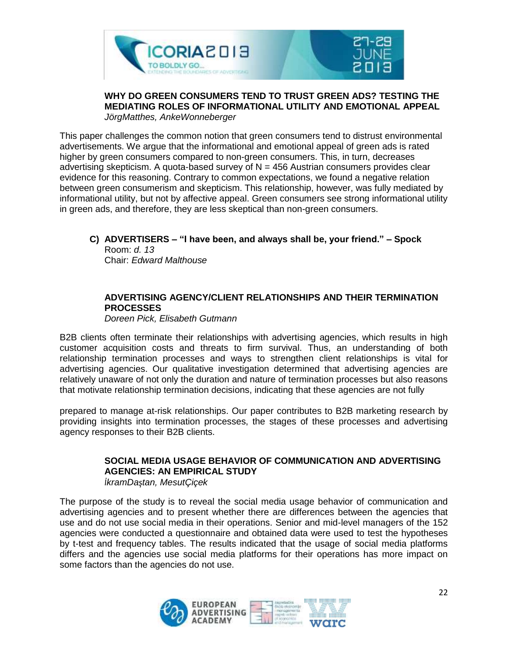



#### **WHY DO GREEN CONSUMERS TEND TO TRUST GREEN ADS? TESTING THE MEDIATING ROLES OF INFORMATIONAL UTILITY AND EMOTIONAL APPEAL** *JörgMatthes, AnkeWonneberger*

This paper challenges the common notion that green consumers tend to distrust environmental advertisements. We argue that the informational and emotional appeal of green ads is rated higher by green consumers compared to non-green consumers. This, in turn, decreases advertising skepticism. A quota-based survey of  $N = 456$  Austrian consumers provides clear evidence for this reasoning. Contrary to common expectations, we found a negative relation between green consumerism and skepticism. This relationship, however, was fully mediated by informational utility, but not by affective appeal. Green consumers see strong informational utility in green ads, and therefore, they are less skeptical than non-green consumers.

#### **C) ADVERTISERS – "I have been, and always shall be, your friend." – Spock**

Room: *d. 13* Chair: *Edward Malthouse*

#### **ADVERTISING AGENCY/CLIENT RELATIONSHIPS AND THEIR TERMINATION PROCESSES**

*Doreen Pick, Elisabeth Gutmann*

B2B clients often terminate their relationships with advertising agencies, which results in high customer acquisition costs and threats to firm survival. Thus, an understanding of both relationship termination processes and ways to strengthen client relationships is vital for advertising agencies. Our qualitative investigation determined that advertising agencies are relatively unaware of not only the duration and nature of termination processes but also reasons that motivate relationship termination decisions, indicating that these agencies are not fully

prepared to manage at-risk relationships. Our paper contributes to B2B marketing research by providing insights into termination processes, the stages of these processes and advertising agency responses to their B2B clients.

#### **SOCIAL MEDIA USAGE BEHAVIOR OF COMMUNICATION AND ADVERTISING AGENCIES: AN EMPIRICAL STUDY**

*İkramDaştan, MesutÇiçek*

The purpose of the study is to reveal the social media usage behavior of communication and advertising agencies and to present whether there are differences between the agencies that use and do not use social media in their operations. Senior and mid-level managers of the 152 agencies were conducted a questionnaire and obtained data were used to test the hypotheses by t-test and frequency tables. The results indicated that the usage of social media platforms differs and the agencies use social media platforms for their operations has more impact on some factors than the agencies do not use.

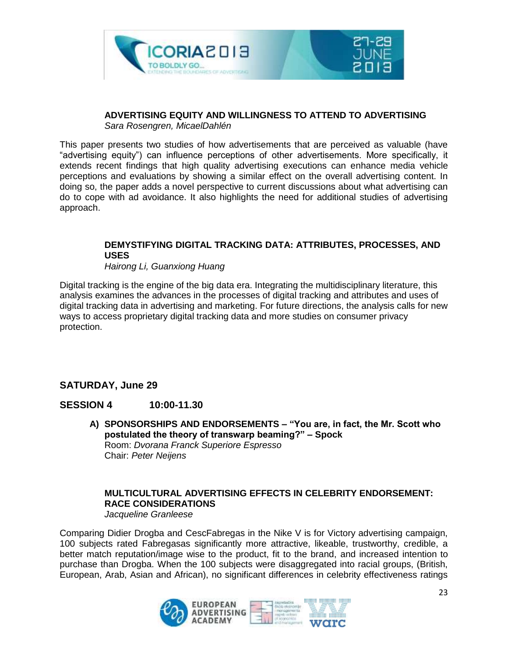

#### **ADVERTISING EQUITY AND WILLINGNESS TO ATTEND TO ADVERTISING**

*Sara Rosengren, MicaelDahlén*

This paper presents two studies of how advertisements that are perceived as valuable (have "advertising equity") can influence perceptions of other advertisements. More specifically, it extends recent findings that high quality advertising executions can enhance media vehicle perceptions and evaluations by showing a similar effect on the overall advertising content. In doing so, the paper adds a novel perspective to current discussions about what advertising can do to cope with ad avoidance. It also highlights the need for additional studies of advertising approach.

#### **DEMYSTIFYING DIGITAL TRACKING DATA: ATTRIBUTES, PROCESSES, AND USES**

*Hairong Li, Guanxiong Huang*

Digital tracking is the engine of the big data era. Integrating the multidisciplinary literature, this analysis examines the advances in the processes of digital tracking and attributes and uses of digital tracking data in advertising and marketing. For future directions, the analysis calls for new ways to access proprietary digital tracking data and more studies on consumer privacy protection.

#### **SATURDAY, June 29**

#### **SESSION 4 10:00-11.30**

**A) SPONSORSHIPS AND ENDORSEMENTS – "You are, in fact, the Mr. Scott who postulated the theory of transwarp beaming?" – Spock** Room: *Dvorana Franck Superiore Espresso* Chair: *Peter Neijens*

#### **MULTICULTURAL ADVERTISING EFFECTS IN CELEBRITY ENDORSEMENT: RACE CONSIDERATIONS** *Jacqueline Granleese*

Comparing Didier Drogba and CescFabregas in the Nike V is for Victory advertising campaign, 100 subjects rated Fabregasas significantly more attractive, likeable, trustworthy, credible, a better match reputation/image wise to the product, fit to the brand, and increased intention to purchase than Drogba. When the 100 subjects were disaggregated into racial groups, (British, European, Arab, Asian and African), no significant differences in celebrity effectiveness ratings

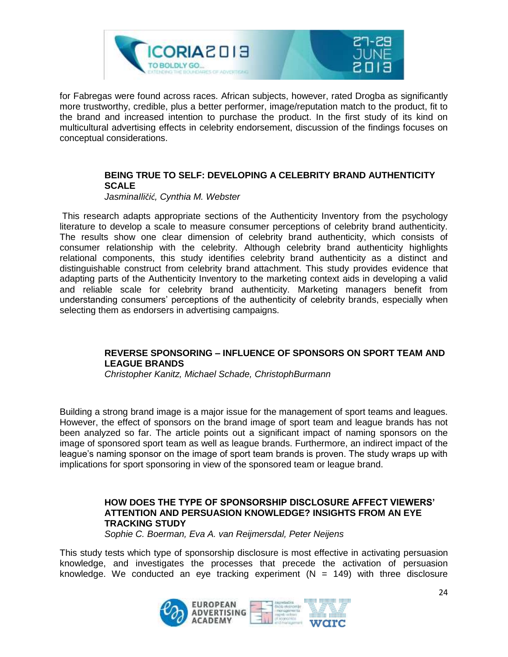

for Fabregas were found across races. African subjects, however, rated Drogba as significantly more trustworthy, credible, plus a better performer, image/reputation match to the product, fit to the brand and increased intention to purchase the product. In the first study of its kind on multicultural advertising effects in celebrity endorsement, discussion of the findings focuses on conceptual considerations.

#### **BEING TRUE TO SELF: DEVELOPING A CELEBRITY BRAND AUTHENTICITY SCALE**

*JasminaIličić, Cynthia M. Webster*

This research adapts appropriate sections of the Authenticity Inventory from the psychology literature to develop a scale to measure consumer perceptions of celebrity brand authenticity. The results show one clear dimension of celebrity brand authenticity, which consists of consumer relationship with the celebrity. Although celebrity brand authenticity highlights relational components, this study identifies celebrity brand authenticity as a distinct and distinguishable construct from celebrity brand attachment. This study provides evidence that adapting parts of the Authenticity Inventory to the marketing context aids in developing a valid and reliable scale for celebrity brand authenticity. Marketing managers benefit from understanding consumers' perceptions of the authenticity of celebrity brands, especially when selecting them as endorsers in advertising campaigns.

#### **REVERSE SPONSORING – INFLUENCE OF SPONSORS ON SPORT TEAM AND LEAGUE BRANDS**

*Christopher Kanitz, Michael Schade, ChristophBurmann*

Building a strong brand image is a major issue for the management of sport teams and leagues. However, the effect of sponsors on the brand image of sport team and league brands has not been analyzed so far. The article points out a significant impact of naming sponsors on the image of sponsored sport team as well as league brands. Furthermore, an indirect impact of the league's naming sponsor on the image of sport team brands is proven. The study wraps up with implications for sport sponsoring in view of the sponsored team or league brand.

#### **HOW DOES THE TYPE OF SPONSORSHIP DISCLOSURE AFFECT VIEWERS' ATTENTION AND PERSUASION KNOWLEDGE? INSIGHTS FROM AN EYE TRACKING STUDY**

*Sophie C. Boerman, Eva A. van Reijmersdal, Peter Neijens*

This study tests which type of sponsorship disclosure is most effective in activating persuasion knowledge, and investigates the processes that precede the activation of persuasion knowledge. We conducted an eye tracking experiment  $(N = 149)$  with three disclosure

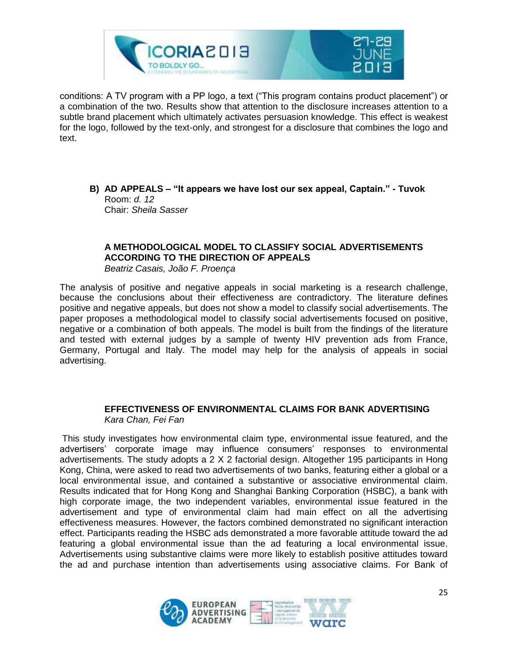

conditions: A TV program with a PP logo, a text ("This program contains product placement") or a combination of the two. Results show that attention to the disclosure increases attention to a subtle brand placement which ultimately activates persuasion knowledge. This effect is weakest for the logo, followed by the text-only, and strongest for a disclosure that combines the logo and text.

**B) AD APPEALS – "It appears we have lost our sex appeal, Captain." - Tuvok** Room: *d. 12* Chair: *Sheila Sasser*

#### **A METHODOLOGICAL MODEL TO CLASSIFY SOCIAL ADVERTISEMENTS ACCORDING TO THE DIRECTION OF APPEALS**

*Beatriz Casais, João F. Proença*

The analysis of positive and negative appeals in social marketing is a research challenge, because the conclusions about their effectiveness are contradictory. The literature defines positive and negative appeals, but does not show a model to classify social advertisements. The paper proposes a methodological model to classify social advertisements focused on positive, negative or a combination of both appeals. The model is built from the findings of the literature and tested with external judges by a sample of twenty HIV prevention ads from France, Germany, Portugal and Italy. The model may help for the analysis of appeals in social advertising.

#### **EFFECTIVENESS OF ENVIRONMENTAL CLAIMS FOR BANK ADVERTISING** *Kara Chan, Fei Fan*

This study investigates how environmental claim type, environmental issue featured, and the advertisers' corporate image may influence consumers' responses to environmental advertisements. The study adopts a 2 X 2 factorial design. Altogether 195 participants in Hong Kong, China, were asked to read two advertisements of two banks, featuring either a global or a local environmental issue, and contained a substantive or associative environmental claim. Results indicated that for Hong Kong and Shanghai Banking Corporation (HSBC), a bank with high corporate image, the two independent variables, environmental issue featured in the advertisement and type of environmental claim had main effect on all the advertising effectiveness measures. However, the factors combined demonstrated no significant interaction effect. Participants reading the HSBC ads demonstrated a more favorable attitude toward the ad featuring a global environmental issue than the ad featuring a local environmental issue. Advertisements using substantive claims were more likely to establish positive attitudes toward the ad and purchase intention than advertisements using associative claims. For Bank of

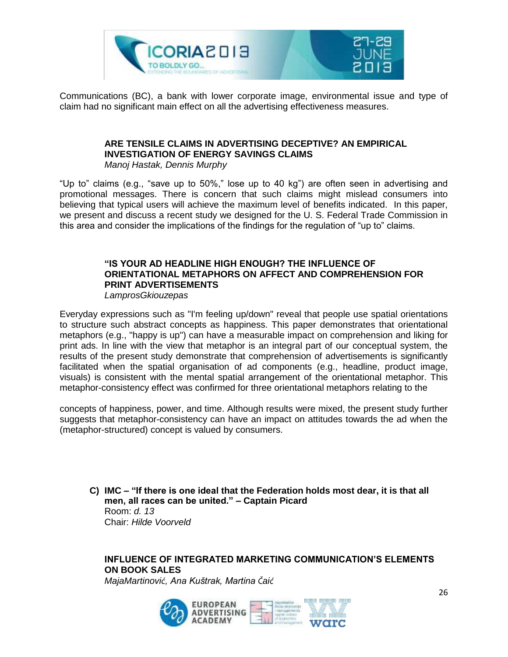

Communications (BC), a bank with lower corporate image, environmental issue and type of claim had no significant main effect on all the advertising effectiveness measures.

#### **ARE TENSILE CLAIMS IN ADVERTISING DECEPTIVE? AN EMPIRICAL INVESTIGATION OF ENERGY SAVINGS CLAIMS**

*Manoj Hastak, Dennis Murphy*

"Up to" claims (e.g., "save up to 50%," lose up to 40 kg") are often seen in advertising and promotional messages. There is concern that such claims might mislead consumers into believing that typical users will achieve the maximum level of benefits indicated. In this paper, we present and discuss a recent study we designed for the U. S. Federal Trade Commission in this area and consider the implications of the findings for the regulation of "up to" claims.

#### **"IS YOUR AD HEADLINE HIGH ENOUGH? THE INFLUENCE OF ORIENTATIONAL METAPHORS ON AFFECT AND COMPREHENSION FOR PRINT ADVERTISEMENTS** *LamprosGkiouzepas*

Everyday expressions such as "I'm feeling up/down" reveal that people use spatial orientations to structure such abstract concepts as happiness. This paper demonstrates that orientational metaphors (e.g., "happy is up") can have a measurable impact on comprehension and liking for print ads. In line with the view that metaphor is an integral part of our conceptual system, the results of the present study demonstrate that comprehension of advertisements is significantly facilitated when the spatial organisation of ad components (e.g., headline, product image, visuals) is consistent with the mental spatial arrangement of the orientational metaphor. This metaphor-consistency effect was confirmed for three orientational metaphors relating to the

concepts of happiness, power, and time. Although results were mixed, the present study further suggests that metaphor-consistency can have an impact on attitudes towards the ad when the (metaphor-structured) concept is valued by consumers.

**C) IMC – "If there is one ideal that the Federation holds most dear, it is that all men, all races can be united." – Captain Picard** Room: *d. 13* Chair: *Hilde Voorveld*

#### **INFLUENCE OF INTEGRATED MARKETING COMMUNICATION'S ELEMENTS ON BOOK SALES**

*MajaMartinović, Ana Kuštrak, Martina Čaić*

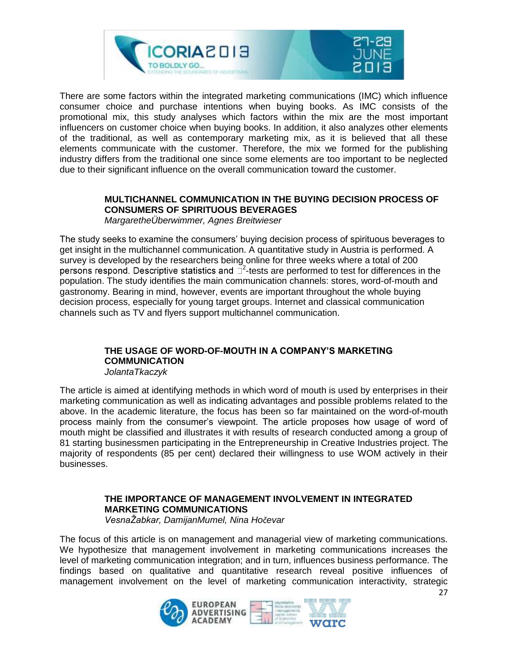

There are some factors within the integrated marketing communications (IMC) which influence consumer choice and purchase intentions when buying books. As IMC consists of the promotional mix, this study analyses which factors within the mix are the most important influencers on customer choice when buying books. In addition, it also analyzes other elements of the traditional, as well as contemporary marketing mix, as it is believed that all these elements communicate with the customer. Therefore, the mix we formed for the publishing industry differs from the traditional one since some elements are too important to be neglected due to their significant influence on the overall communication toward the customer.

#### **MULTICHANNEL COMMUNICATION IN THE BUYING DECISION PROCESS OF CONSUMERS OF SPIRITUOUS BEVERAGES**

*MargaretheÜberwimmer, Agnes Breitwieser*

The study seeks to examine the consumers' buying decision process of spirituous beverages to get insight in the multichannel communication. A quantitative study in Austria is performed. A survey is developed by the researchers being online for three weeks where a total of 200 <sup>2</sup>-tests are performed to test for differences in the population. The study identifies the main communication channels: stores, word-of-mouth and gastronomy. Bearing in mind, however, events are important throughout the whole buying decision process, especially for young target groups. Internet and classical communication channels such as TV and flyers support multichannel communication.

#### **THE USAGE OF WORD-OF-MOUTH IN A COMPANY'S MARKETING COMMUNICATION**

*JolantaTkaczyk*

The article is aimed at identifying methods in which word of mouth is used by enterprises in their marketing communication as well as indicating advantages and possible problems related to the above. In the academic literature, the focus has been so far maintained on the word-of-mouth process mainly from the consumer's viewpoint. The article proposes how usage of word of mouth might be classified and illustrates it with results of research conducted among a group of 81 starting businessmen participating in the Entrepreneurship in Creative Industries project. The majority of respondents (85 per cent) declared their willingness to use WOM actively in their businesses.

#### **THE IMPORTANCE OF MANAGEMENT INVOLVEMENT IN INTEGRATED MARKETING COMMUNICATIONS**

*VesnaŽabkar, DamijanMumel, Nina Hočevar*

The focus of this article is on management and managerial view of marketing communications. We hypothesize that management involvement in marketing communications increases the level of marketing communication integration; and in turn, influences business performance. The findings based on qualitative and quantitative research reveal positive influences of management involvement on the level of marketing communication interactivity, strategic

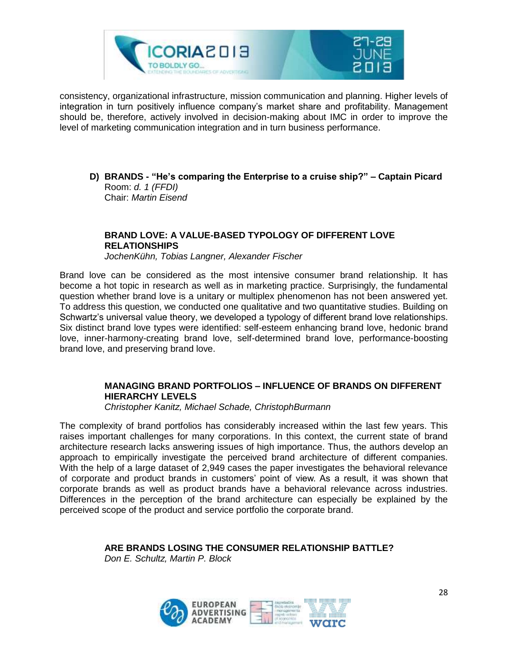

consistency, organizational infrastructure, mission communication and planning. Higher levels of integration in turn positively influence company's market share and profitability. Management should be, therefore, actively involved in decision-making about IMC in order to improve the level of marketing communication integration and in turn business performance.

**D) BRANDS - "He's comparing the Enterprise to a cruise ship?" – Captain Picard** Room: *d. 1 (FFDI)* Chair: *Martin Eisend*

#### **BRAND LOVE: A VALUE-BASED TYPOLOGY OF DIFFERENT LOVE RELATIONSHIPS**

*JochenKühn, Tobias Langner, Alexander Fischer*

Brand love can be considered as the most intensive consumer brand relationship. It has become a hot topic in research as well as in marketing practice. Surprisingly, the fundamental question whether brand love is a unitary or multiplex phenomenon has not been answered yet. To address this question, we conducted one qualitative and two quantitative studies. Building on Schwartz's universal value theory, we developed a typology of different brand love relationships. Six distinct brand love types were identified: self-esteem enhancing brand love, hedonic brand love, inner-harmony-creating brand love, self-determined brand love, performance-boosting brand love, and preserving brand love.

#### **MANAGING BRAND PORTFOLIOS – INFLUENCE OF BRANDS ON DIFFERENT HIERARCHY LEVELS**

*Christopher Kanitz, Michael Schade, ChristophBurmann*

The complexity of brand portfolios has considerably increased within the last few years. This raises important challenges for many corporations. In this context, the current state of brand architecture research lacks answering issues of high importance. Thus, the authors develop an approach to empirically investigate the perceived brand architecture of different companies. With the help of a large dataset of 2,949 cases the paper investigates the behavioral relevance of corporate and product brands in customers' point of view. As a result, it was shown that corporate brands as well as product brands have a behavioral relevance across industries. Differences in the perception of the brand architecture can especially be explained by the perceived scope of the product and service portfolio the corporate brand.

**ARE BRANDS LOSING THE CONSUMER RELATIONSHIP BATTLE?**

*Don E. Schultz, Martin P. Block*

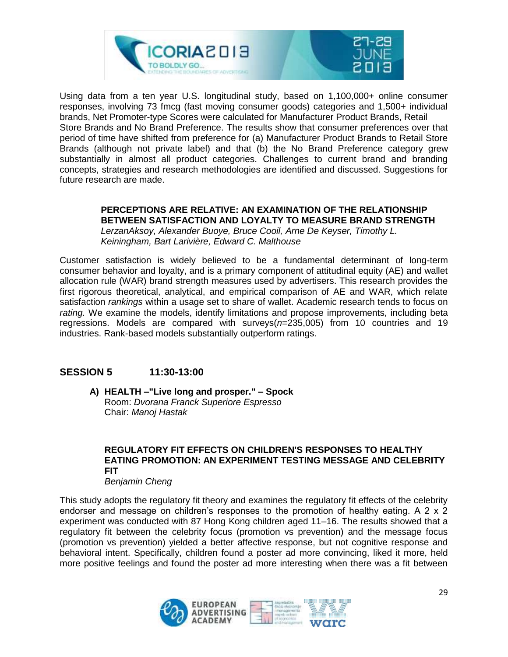

Using data from a ten year U.S. longitudinal study, based on 1,100,000+ online consumer responses, involving 73 fmcg (fast moving consumer goods) categories and 1,500+ individual brands, Net Promoter-type Scores were calculated for Manufacturer Product Brands, Retail Store Brands and No Brand Preference. The results show that consumer preferences over that period of time have shifted from preference for (a) Manufacturer Product Brands to Retail Store Brands (although not private label) and that (b) the No Brand Preference category grew substantially in almost all product categories. Challenges to current brand and branding concepts, strategies and research methodologies are identified and discussed. Suggestions for future research are made.

#### **PERCEPTIONS ARE RELATIVE: AN EXAMINATION OF THE RELATIONSHIP BETWEEN SATISFACTION AND LOYALTY TO MEASURE BRAND STRENGTH**

*LerzanAksoy, Alexander Buoye, Bruce Cooil, Arne De Keyser, Timothy L. Keiningham, Bart Larivière, Edward C. Malthouse*

Customer satisfaction is widely believed to be a fundamental determinant of long-term consumer behavior and loyalty, and is a primary component of attitudinal equity (AE) and wallet allocation rule (WAR) brand strength measures used by advertisers. This research provides the first rigorous theoretical, analytical, and empirical comparison of AE and WAR, which relate satisfaction *rankings* within a usage set to share of wallet. Academic research tends to focus on *rating.* We examine the models, identify limitations and propose improvements, including beta regressions. Models are compared with surveys(*n*=235,005) from 10 countries and 19 industries. Rank-based models substantially outperform ratings.

#### **SESSION 5 11:30-13:00**

**A) HEALTH –"Live long and prosper." – Spock** Room: *Dvorana Franck Superiore Espresso* Chair: *Manoj Hastak*

#### **REGULATORY FIT EFFECTS ON CHILDREN'S RESPONSES TO HEALTHY EATING PROMOTION: AN EXPERIMENT TESTING MESSAGE AND CELEBRITY FIT**

#### *Benjamin Cheng*

This study adopts the regulatory fit theory and examines the regulatory fit effects of the celebrity endorser and message on children's responses to the promotion of healthy eating. A 2 x 2 experiment was conducted with 87 Hong Kong children aged 11–16. The results showed that a regulatory fit between the celebrity focus (promotion vs prevention) and the message focus (promotion vs prevention) yielded a better affective response, but not cognitive response and behavioral intent. Specifically, children found a poster ad more convincing, liked it more, held more positive feelings and found the poster ad more interesting when there was a fit between

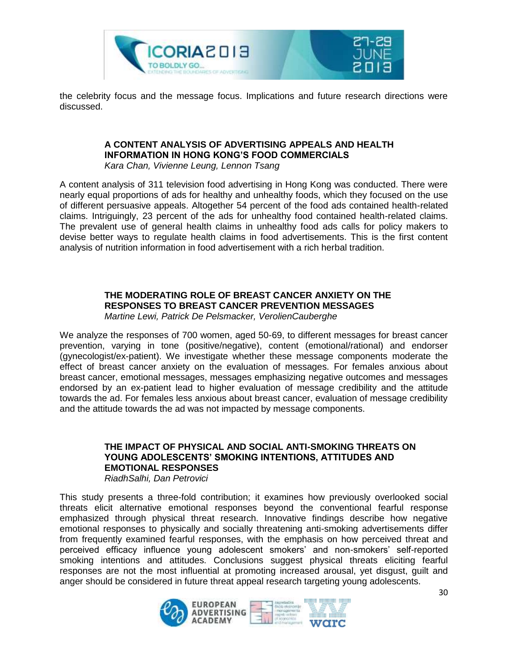

the celebrity focus and the message focus. Implications and future research directions were discussed.

#### **A CONTENT ANALYSIS OF ADVERTISING APPEALS AND HEALTH INFORMATION IN HONG KONG'S FOOD COMMERCIALS**

*Kara Chan, Vivienne Leung, Lennon Tsang*

A content analysis of 311 television food advertising in Hong Kong was conducted. There were nearly equal proportions of ads for healthy and unhealthy foods, which they focused on the use of different persuasive appeals. Altogether 54 percent of the food ads contained health-related claims. Intriguingly, 23 percent of the ads for unhealthy food contained health-related claims. The prevalent use of general health claims in unhealthy food ads calls for policy makers to devise better ways to regulate health claims in food advertisements. This is the first content analysis of nutrition information in food advertisement with a rich herbal tradition.

#### **THE MODERATING ROLE OF BREAST CANCER ANXIETY ON THE RESPONSES TO BREAST CANCER PREVENTION MESSAGES**

*Martine Lewi, Patrick De Pelsmacker, VerolienCauberghe*

We analyze the responses of 700 women, aged 50-69, to different messages for breast cancer prevention, varying in tone (positive/negative), content (emotional/rational) and endorser (gynecologist/ex-patient). We investigate whether these message components moderate the effect of breast cancer anxiety on the evaluation of messages. For females anxious about breast cancer, emotional messages, messages emphasizing negative outcomes and messages endorsed by an ex-patient lead to higher evaluation of message credibility and the attitude towards the ad. For females less anxious about breast cancer, evaluation of message credibility and the attitude towards the ad was not impacted by message components.

#### **THE IMPACT OF PHYSICAL AND SOCIAL ANTI-SMOKING THREATS ON YOUNG ADOLESCENTS' SMOKING INTENTIONS, ATTITUDES AND EMOTIONAL RESPONSES**

*RiadhSalhi, Dan Petrovici*

This study presents a three-fold contribution; it examines how previously overlooked social threats elicit alternative emotional responses beyond the conventional fearful response emphasized through physical threat research. Innovative findings describe how negative emotional responses to physically and socially threatening anti-smoking advertisements differ from frequently examined fearful responses, with the emphasis on how perceived threat and perceived efficacy influence young adolescent smokers' and non-smokers' self-reported smoking intentions and attitudes. Conclusions suggest physical threats eliciting fearful responses are not the most influential at promoting increased arousal, yet disgust, guilt and anger should be considered in future threat appeal research targeting young adolescents.

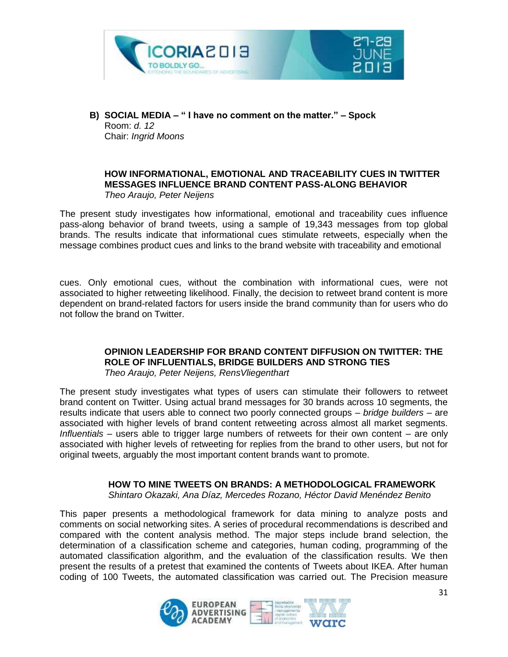



#### **HOW INFORMATIONAL, EMOTIONAL AND TRACEABILITY CUES IN TWITTER MESSAGES INFLUENCE BRAND CONTENT PASS-ALONG BEHAVIOR** *Theo Araujo, Peter Neijens*

The present study investigates how informational, emotional and traceability cues influence pass-along behavior of brand tweets, using a sample of 19,343 messages from top global brands. The results indicate that informational cues stimulate retweets, especially when the message combines product cues and links to the brand website with traceability and emotional

cues. Only emotional cues, without the combination with informational cues, were not associated to higher retweeting likelihood. Finally, the decision to retweet brand content is more dependent on brand-related factors for users inside the brand community than for users who do not follow the brand on Twitter.

#### **OPINION LEADERSHIP FOR BRAND CONTENT DIFFUSION ON TWITTER: THE ROLE OF INFLUENTIALS, BRIDGE BUILDERS AND STRONG TIES**

*Theo Araujo, Peter Neijens, RensVliegenthart*

The present study investigates what types of users can stimulate their followers to retweet brand content on Twitter. Using actual brand messages for 30 brands across 10 segments, the results indicate that users able to connect two poorly connected groups – *bridge builders* – are associated with higher levels of brand content retweeting across almost all market segments. *Influentials* – users able to trigger large numbers of retweets for their own content – are only associated with higher levels of retweeting for replies from the brand to other users, but not for original tweets, arguably the most important content brands want to promote.

#### **HOW TO MINE TWEETS ON BRANDS: A METHODOLOGICAL FRAMEWORK**

*Shintaro Okazaki, Ana Díaz, Mercedes Rozano, Héctor David Menéndez Benito*

This paper presents a methodological framework for data mining to analyze posts and comments on social networking sites. A series of procedural recommendations is described and compared with the content analysis method. The major steps include brand selection, the determination of a classification scheme and categories, human coding, programming of the automated classification algorithm, and the evaluation of the classification results. We then present the results of a pretest that examined the contents of Tweets about IKEA. After human coding of 100 Tweets, the automated classification was carried out. The Precision measure

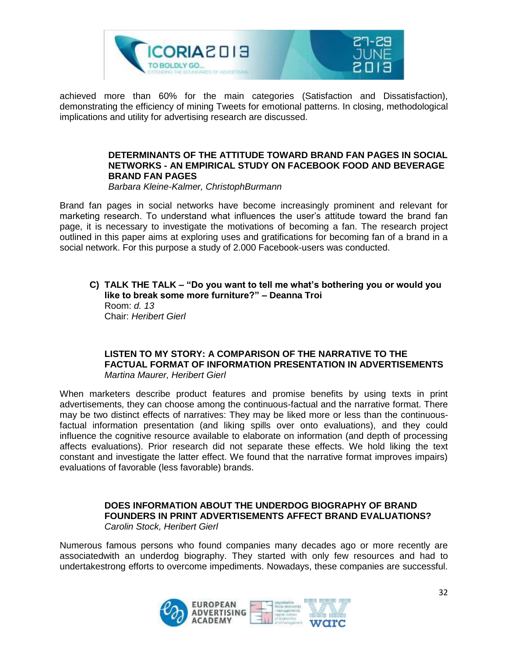

achieved more than 60% for the main categories (Satisfaction and Dissatisfaction), demonstrating the efficiency of mining Tweets for emotional patterns. In closing, methodological implications and utility for advertising research are discussed.

#### **DETERMINANTS OF THE ATTITUDE TOWARD BRAND FAN PAGES IN SOCIAL NETWORKS - AN EMPIRICAL STUDY ON FACEBOOK FOOD AND BEVERAGE BRAND FAN PAGES**

*Barbara Kleine-Kalmer, ChristophBurmann*

Brand fan pages in social networks have become increasingly prominent and relevant for marketing research. To understand what influences the user's attitude toward the brand fan page, it is necessary to investigate the motivations of becoming a fan. The research project outlined in this paper aims at exploring uses and gratifications for becoming fan of a brand in a social network. For this purpose a study of 2.000 Facebook-users was conducted.

**C) TALK THE TALK – "Do you want to tell me what's bothering you or would you like to break some more furniture?" – Deanna Troi** Room: *d. 13* Chair: *Heribert Gierl*

#### **LISTEN TO MY STORY: A COMPARISON OF THE NARRATIVE TO THE FACTUAL FORMAT OF INFORMATION PRESENTATION IN ADVERTISEMENTS** *Martina Maurer, Heribert Gierl*

When marketers describe product features and promise benefits by using texts in print advertisements, they can choose among the continuous-factual and the narrative format. There may be two distinct effects of narratives: They may be liked more or less than the continuousfactual information presentation (and liking spills over onto evaluations), and they could influence the cognitive resource available to elaborate on information (and depth of processing affects evaluations). Prior research did not separate these effects. We hold liking the text constant and investigate the latter effect. We found that the narrative format improves impairs) evaluations of favorable (less favorable) brands.

#### **DOES INFORMATION ABOUT THE UNDERDOG BIOGRAPHY OF BRAND FOUNDERS IN PRINT ADVERTISEMENTS AFFECT BRAND EVALUATIONS?** *Carolin Stock, Heribert Gierl*

Numerous famous persons who found companies many decades ago or more recently are associatedwith an underdog biography. They started with only few resources and had to undertakestrong efforts to overcome impediments. Nowadays, these companies are successful.

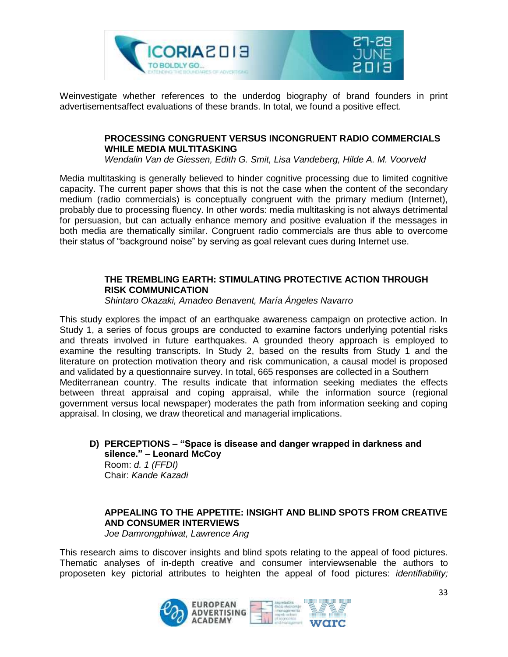

Weinvestigate whether references to the underdog biography of brand founders in print advertisementsaffect evaluations of these brands. In total, we found a positive effect.

#### **PROCESSING CONGRUENT VERSUS INCONGRUENT RADIO COMMERCIALS WHILE MEDIA MULTITASKING**

*Wendalin Van de Giessen, Edith G. Smit, Lisa Vandeberg, Hilde A. M. Voorveld*

Media multitasking is generally believed to hinder cognitive processing due to limited cognitive capacity. The current paper shows that this is not the case when the content of the secondary medium (radio commercials) is conceptually congruent with the primary medium (Internet), probably due to processing fluency. In other words: media multitasking is not always detrimental for persuasion, but can actually enhance memory and positive evaluation if the messages in both media are thematically similar. Congruent radio commercials are thus able to overcome their status of "background noise" by serving as goal relevant cues during Internet use.

#### **THE TREMBLING EARTH: STIMULATING PROTECTIVE ACTION THROUGH RISK COMMUNICATION**

*Shintaro Okazaki, Amadeo Benavent, María Ángeles Navarro*

This study explores the impact of an earthquake awareness campaign on protective action. In Study 1, a series of focus groups are conducted to examine factors underlying potential risks and threats involved in future earthquakes. A grounded theory approach is employed to examine the resulting transcripts. In Study 2, based on the results from Study 1 and the literature on protection motivation theory and risk communication, a causal model is proposed and validated by a questionnaire survey. In total, 665 responses are collected in a Southern Mediterranean country. The results indicate that information seeking mediates the effects between threat appraisal and coping appraisal, while the information source (regional government versus local newspaper) moderates the path from information seeking and coping appraisal. In closing, we draw theoretical and managerial implications.

**D) PERCEPTIONS – "Space is disease and danger wrapped in darkness and silence." – Leonard McCoy** Room: *d. 1 (FFDI)* Chair: *Kande Kazadi*

#### **APPEALING TO THE APPETITE: INSIGHT AND BLIND SPOTS FROM CREATIVE AND CONSUMER INTERVIEWS**

*Joe Damrongphiwat, Lawrence Ang*

This research aims to discover insights and blind spots relating to the appeal of food pictures. Thematic analyses of in-depth creative and consumer interviewsenable the authors to proposeten key pictorial attributes to heighten the appeal of food pictures: *identifiability;* 

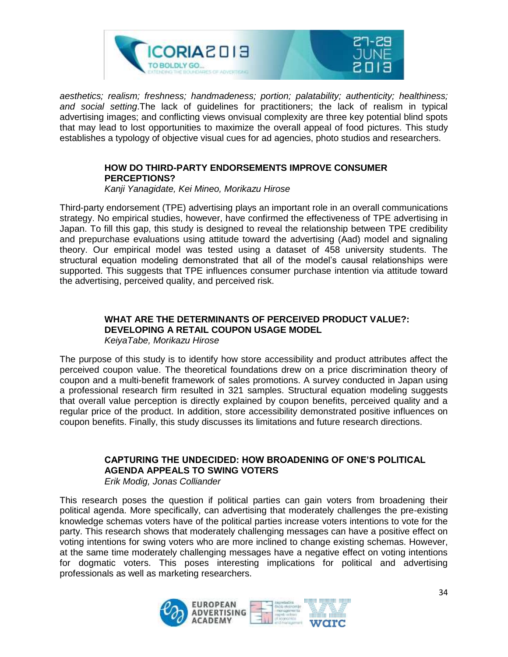

*aesthetics; realism; freshness; handmadeness; portion; palatability; authenticity; healthiness; and social setting*.The lack of guidelines for practitioners; the lack of realism in typical advertising images; and conflicting views onvisual complexity are three key potential blind spots that may lead to lost opportunities to maximize the overall appeal of food pictures. This study establishes a typology of objective visual cues for ad agencies, photo studios and researchers.

#### **HOW DO THIRD-PARTY ENDORSEMENTS IMPROVE CONSUMER PERCEPTIONS?**

*Kanji Yanagidate, Kei Mineo, Morikazu Hirose*

Third-party endorsement (TPE) advertising plays an important role in an overall communications strategy. No empirical studies, however, have confirmed the effectiveness of TPE advertising in Japan. To fill this gap, this study is designed to reveal the relationship between TPE credibility and prepurchase evaluations using attitude toward the advertising (Aad) model and signaling theory. Our empirical model was tested using a dataset of 458 university students. The structural equation modeling demonstrated that all of the model's causal relationships were supported. This suggests that TPE influences consumer purchase intention via attitude toward the advertising, perceived quality, and perceived risk.

#### **WHAT ARE THE DETERMINANTS OF PERCEIVED PRODUCT VALUE?: DEVELOPING A RETAIL COUPON USAGE MODEL**

*KeiyaTabe, Morikazu Hirose*

The purpose of this study is to identify how store accessibility and product attributes affect the perceived coupon value. The theoretical foundations drew on a price discrimination theory of coupon and a multi-benefit framework of sales promotions. A survey conducted in Japan using a professional research firm resulted in 321 samples. Structural equation modeling suggests that overall value perception is directly explained by coupon benefits, perceived quality and a regular price of the product. In addition, store accessibility demonstrated positive influences on coupon benefits. Finally, this study discusses its limitations and future research directions.

#### **CAPTURING THE UNDECIDED: HOW BROADENING OF ONE'S POLITICAL AGENDA APPEALS TO SWING VOTERS**

*Erik Modig, Jonas Colliander*

This research poses the question if political parties can gain voters from broadening their political agenda. More specifically, can advertising that moderately challenges the pre-existing knowledge schemas voters have of the political parties increase voters intentions to vote for the party. This research shows that moderately challenging messages can have a positive effect on voting intentions for swing voters who are more inclined to change existing schemas. However, at the same time moderately challenging messages have a negative effect on voting intentions for dogmatic voters. This poses interesting implications for political and advertising professionals as well as marketing researchers.

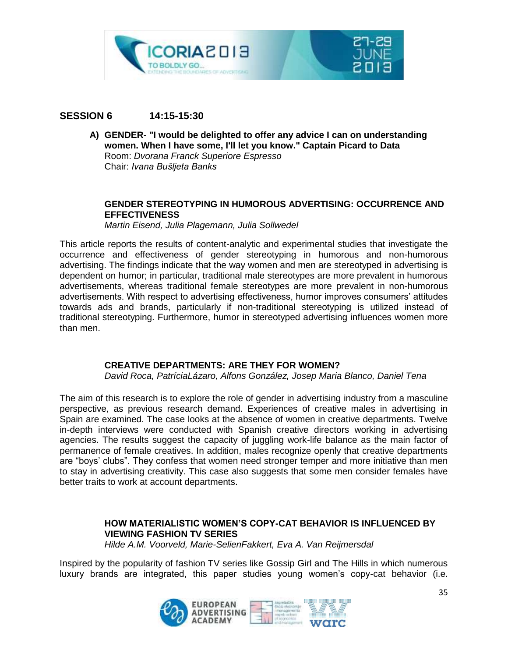

#### **SESSION 6 14:15-15:30**

**A) GENDER- "I would be delighted to offer any advice I can on understanding women. When I have some, I'll let you know." Captain Picard to Data** Room: *Dvorana Franck Superiore Espresso* Chair: *Ivana Bušljeta Banks*

#### **GENDER STEREOTYPING IN HUMOROUS ADVERTISING: OCCURRENCE AND EFFECTIVENESS**

*Martin Eisend, Julia Plagemann, Julia Sollwedel*

This article reports the results of content-analytic and experimental studies that investigate the occurrence and effectiveness of gender stereotyping in humorous and non-humorous advertising. The findings indicate that the way women and men are stereotyped in advertising is dependent on humor; in particular, traditional male stereotypes are more prevalent in humorous advertisements, whereas traditional female stereotypes are more prevalent in non-humorous advertisements. With respect to advertising effectiveness, humor improves consumers' attitudes towards ads and brands, particularly if non-traditional stereotyping is utilized instead of traditional stereotyping. Furthermore, humor in stereotyped advertising influences women more than men.

#### **CREATIVE DEPARTMENTS: ARE THEY FOR WOMEN?**

*David Roca, PatríciaLázaro, Alfons González, Josep Maria Blanco, Daniel Tena*

The aim of this research is to explore the role of gender in advertising industry from a masculine perspective, as previous research demand. Experiences of creative males in advertising in Spain are examined. The case looks at the absence of women in creative departments. Twelve in-depth interviews were conducted with Spanish creative directors working in advertising agencies. The results suggest the capacity of juggling work-life balance as the main factor of permanence of female creatives. In addition, males recognize openly that creative departments are "boys' clubs". They confess that women need stronger temper and more initiative than men to stay in advertising creativity. This case also suggests that some men consider females have better traits to work at account departments.

#### **HOW MATERIALISTIC WOMEN'S COPY-CAT BEHAVIOR IS INFLUENCED BY VIEWING FASHION TV SERIES**

*Hilde A.M. Voorveld, Marie-SelienFakkert, Eva A. Van Reijmersdal*

Inspired by the popularity of fashion TV series like Gossip Girl and The Hills in which numerous luxury brands are integrated, this paper studies young women's copy-cat behavior (i.e.

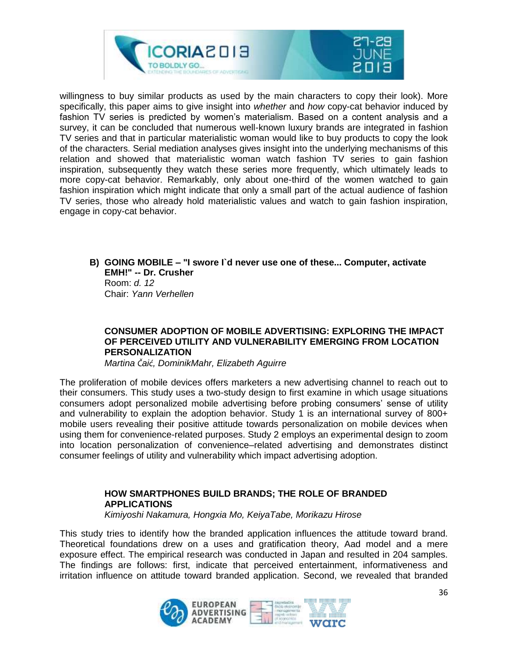

willingness to buy similar products as used by the main characters to copy their look). More specifically, this paper aims to give insight into *whether* and *how* copy-cat behavior induced by fashion TV series is predicted by women's materialism. Based on a content analysis and a survey, it can be concluded that numerous well-known luxury brands are integrated in fashion TV series and that in particular materialistic woman would like to buy products to copy the look of the characters. Serial mediation analyses gives insight into the underlying mechanisms of this relation and showed that materialistic woman watch fashion TV series to gain fashion inspiration, subsequently they watch these series more frequently, which ultimately leads to more copy-cat behavior. Remarkably, only about one-third of the women watched to gain fashion inspiration which might indicate that only a small part of the actual audience of fashion TV series, those who already hold materialistic values and watch to gain fashion inspiration, engage in copy-cat behavior.

**B) GOING MOBILE – "I swore I`d never use one of these... Computer, activate EMH!" -- Dr. Crusher** Room: *d. 12* Chair: *Yann Verhellen*

#### **CONSUMER ADOPTION OF MOBILE ADVERTISING: EXPLORING THE IMPACT OF PERCEIVED UTILITY AND VULNERABILITY EMERGING FROM LOCATION PERSONALIZATION**

*Martina Čaić, DominikMahr, Elizabeth Aguirre*

The proliferation of mobile devices offers marketers a new advertising channel to reach out to their consumers. This study uses a two-study design to first examine in which usage situations consumers adopt personalized mobile advertising before probing consumers' sense of utility and vulnerability to explain the adoption behavior. Study 1 is an international survey of 800+ mobile users revealing their positive attitude towards personalization on mobile devices when using them for convenience-related purposes. Study 2 employs an experimental design to zoom into location personalization of convenience–related advertising and demonstrates distinct consumer feelings of utility and vulnerability which impact advertising adoption.

#### **HOW SMARTPHONES BUILD BRANDS; THE ROLE OF BRANDED APPLICATIONS** *Kimiyoshi Nakamura, Hongxia Mo, KeiyaTabe, Morikazu Hirose*

This study tries to identify how the branded application influences the attitude toward brand. Theoretical foundations drew on a uses and gratification theory, Aad model and a mere exposure effect. The empirical research was conducted in Japan and resulted in 204 samples. The findings are follows: first, indicate that perceived entertainment, informativeness and irritation influence on attitude toward branded application. Second, we revealed that branded

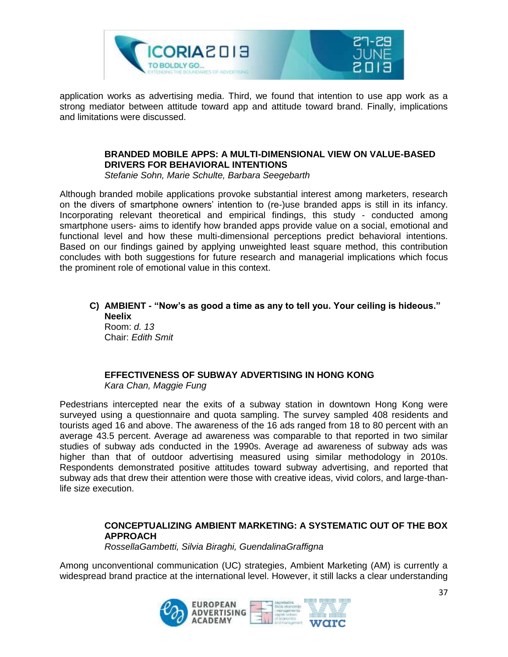

application works as advertising media. Third, we found that intention to use app work as a strong mediator between attitude toward app and attitude toward brand. Finally, implications and limitations were discussed.

#### **BRANDED MOBILE APPS: A MULTI-DIMENSIONAL VIEW ON VALUE-BASED DRIVERS FOR BEHAVIORAL INTENTIONS**

*Stefanie Sohn, Marie Schulte, Barbara Seegebarth*

Although branded mobile applications provoke substantial interest among marketers, research on the divers of smartphone owners' intention to (re-)use branded apps is still in its infancy. Incorporating relevant theoretical and empirical findings, this study - conducted among smartphone users- aims to identify how branded apps provide value on a social, emotional and functional level and how these multi-dimensional perceptions predict behavioral intentions. Based on our findings gained by applying unweighted least square method, this contribution concludes with both suggestions for future research and managerial implications which focus the prominent role of emotional value in this context.

**C) AMBIENT - "Now's as good a time as any to tell you. Your ceiling is hideous." Neelix** Room: *d. 13*

Chair: *Edith Smit*

#### **EFFECTIVENESS OF SUBWAY ADVERTISING IN HONG KONG** *Kara Chan, Maggie Fung*

Pedestrians intercepted near the exits of a subway station in downtown Hong Kong were surveyed using a questionnaire and quota sampling. The survey sampled 408 residents and tourists aged 16 and above. The awareness of the 16 ads ranged from 18 to 80 percent with an average 43.5 percent. Average ad awareness was comparable to that reported in two similar studies of subway ads conducted in the 1990s. Average ad awareness of subway ads was higher than that of outdoor advertising measured using similar methodology in 2010s. Respondents demonstrated positive attitudes toward subway advertising, and reported that subway ads that drew their attention were those with creative ideas, vivid colors, and large-thanlife size execution.

#### **CONCEPTUALIZING AMBIENT MARKETING: A SYSTEMATIC OUT OF THE BOX APPROACH**

*RossellaGambetti, Silvia Biraghi, GuendalinaGraffigna*

Among unconventional communication (UC) strategies, Ambient Marketing (AM) is currently a widespread brand practice at the international level. However, it still lacks a clear understanding

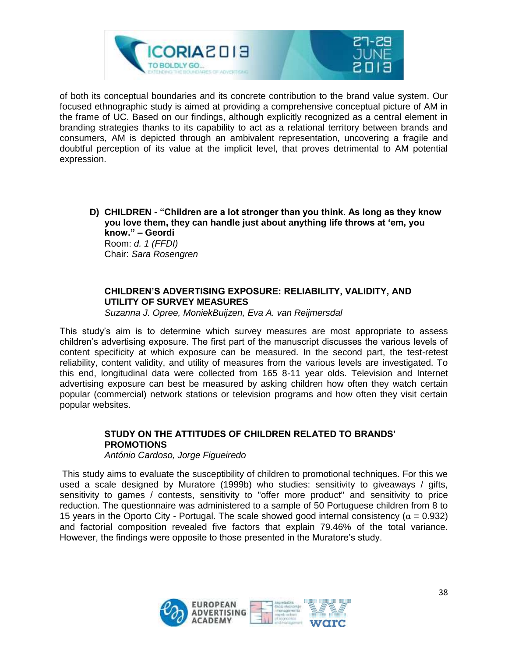

of both its conceptual boundaries and its concrete contribution to the brand value system. Our focused ethnographic study is aimed at providing a comprehensive conceptual picture of AM in the frame of UC. Based on our findings, although explicitly recognized as a central element in branding strategies thanks to its capability to act as a relational territory between brands and consumers, AM is depicted through an ambivalent representation, uncovering a fragile and doubtful perception of its value at the implicit level, that proves detrimental to AM potential expression.

**D) CHILDREN - "Children are a lot stronger than you think. As long as they know you love them, they can handle just about anything life throws at 'em, you know." – Geordi** Room: *d. 1 (FFDI)* Chair: *Sara Rosengren*

#### **CHILDREN'S ADVERTISING EXPOSURE: RELIABILITY, VALIDITY, AND UTILITY OF SURVEY MEASURES**

*Suzanna J. Opree, MoniekBuijzen, Eva A. van Reijmersdal*

This study's aim is to determine which survey measures are most appropriate to assess children's advertising exposure. The first part of the manuscript discusses the various levels of content specificity at which exposure can be measured. In the second part, the test-retest reliability, content validity, and utility of measures from the various levels are investigated. To this end, longitudinal data were collected from 165 8-11 year olds. Television and Internet advertising exposure can best be measured by asking children how often they watch certain popular (commercial) network stations or television programs and how often they visit certain popular websites.

#### **STUDY ON THE ATTITUDES OF CHILDREN RELATED TO BRANDS' PROMOTIONS**

*António Cardoso, Jorge Figueiredo*

This study aims to evaluate the susceptibility of children to promotional techniques. For this we used a scale designed by Muratore (1999b) who studies: sensitivity to giveaways / gifts, sensitivity to games / contests, sensitivity to "offer more product" and sensitivity to price reduction. The questionnaire was administered to a sample of 50 Portuguese children from 8 to 15 years in the Oporto City - Portugal. The scale showed good internal consistency ( $\alpha = 0.932$ ) and factorial composition revealed five factors that explain 79.46% of the total variance. However, the findings were opposite to those presented in the Muratore's study.

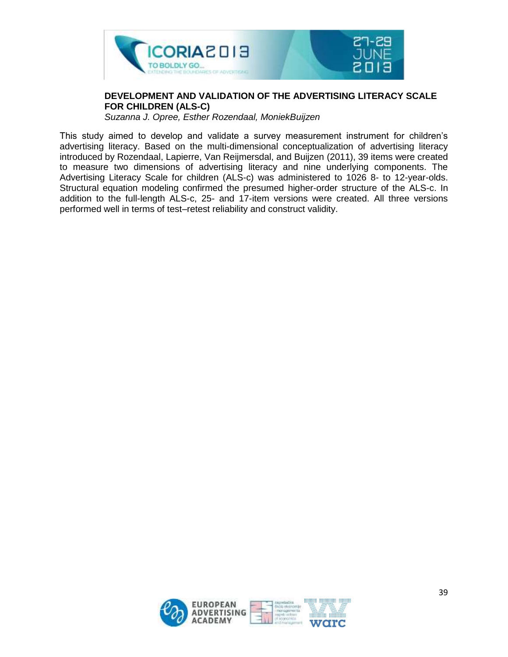

#### **DEVELOPMENT AND VALIDATION OF THE ADVERTISING LITERACY SCALE FOR CHILDREN (ALS-C)**

*Suzanna J. Opree, Esther Rozendaal, MoniekBuijzen*

This study aimed to develop and validate a survey measurement instrument for children's advertising literacy. Based on the multi-dimensional conceptualization of advertising literacy introduced by Rozendaal, Lapierre, Van Reijmersdal, and Buijzen (2011), 39 items were created to measure two dimensions of advertising literacy and nine underlying components. The Advertising Literacy Scale for children (ALS-c) was administered to 1026 8- to 12-year-olds. Structural equation modeling confirmed the presumed higher-order structure of the ALS-c. In addition to the full-length ALS-c, 25- and 17-item versions were created. All three versions performed well in terms of test–retest reliability and construct validity.

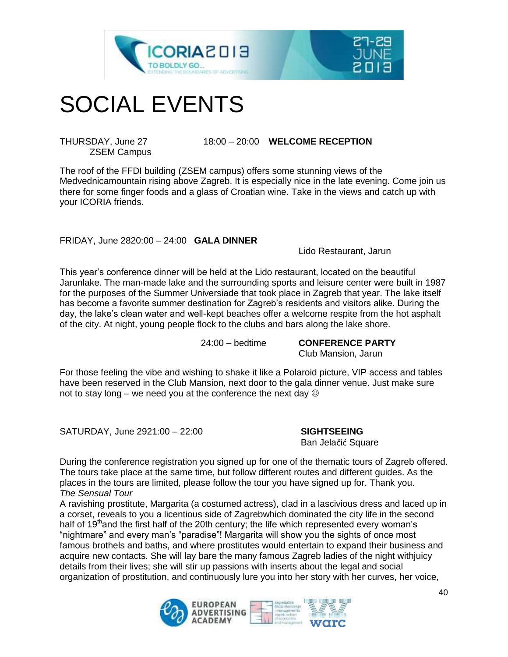



### SOCIAL EVENTS

ZSEM Campus

THURSDAY, June 27 18:00 – 20:00 **WELCOME RECEPTION**

The roof of the FFDI building (ZSEM campus) offers some stunning views of the Medvednicamountain rising above Zagreb. It is especially nice in the late evening. Come join us there for some finger foods and a glass of Croatian wine. Take in the views and catch up with your ICORIA friends.

#### FRIDAY, June 2820:00 – 24:00 **GALA DINNER**

Lido Restaurant, Jarun

This year's conference dinner will be held at the Lido restaurant, located on the beautiful Jarunlake. The man-made lake and the surrounding sports and leisure center were built in 1987 for the purposes of the Summer Universiade that took place in Zagreb that year. The lake itself has become a favorite summer destination for Zagreb's residents and visitors alike. During the day, the lake's clean water and well-kept beaches offer a welcome respite from the hot asphalt of the city. At night, young people flock to the clubs and bars along the lake shore.

24:00 – bedtime **CONFERENCE PARTY**

Club Mansion, Jarun

For those feeling the vibe and wishing to shake it like a Polaroid picture, VIP access and tables have been reserved in the Club Mansion, next door to the gala dinner venue. Just make sure not to stay long – we need you at the conference the next day  $\odot$ 

SATURDAY, June 2921:00 – 22:00 **SIGHTSEEING**

Ban Jelačić Square

During the conference registration you signed up for one of the thematic tours of Zagreb offered. The tours take place at the same time, but follow different routes and different guides. As the places in the tours are limited, please follow the tour you have signed up for. Thank you. *The Sensual Tour*

A ravishing prostitute, Margarita (a costumed actress), clad in a lascivious dress and laced up in a corset, reveals to you a licentious side of Zagrebwhich dominated the city life in the second half of 19<sup>th</sup>and the first half of the 20th century; the life which represented every woman's "nightmare" and every man's "paradise"! Margarita will show you the sights of once most famous brothels and baths, and where prostitutes would entertain to expand their business and acquire new contacts. She will lay bare the many famous Zagreb ladies of the night withjuicy details from their lives; she will stir up passions with inserts about the legal and social organization of prostitution, and continuously lure you into her story with her curves, her voice,

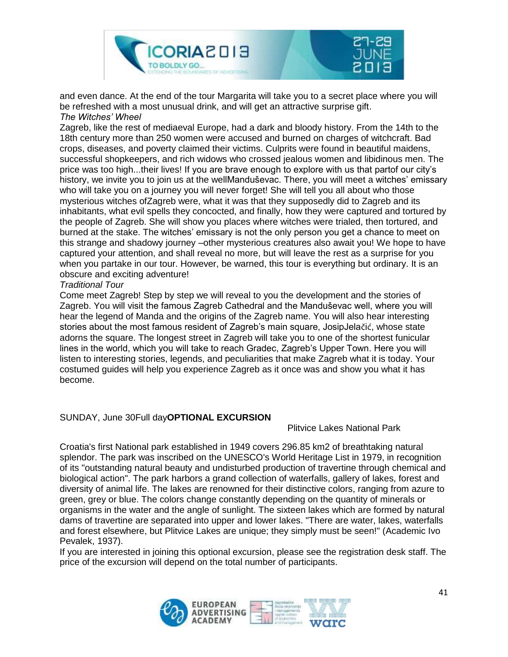

and even dance. At the end of the tour Margarita will take you to a secret place where you will be refreshed with a most unusual drink, and will get an attractive surprise gift. *The Witches' Wheel*

Zagreb, like the rest of mediaeval Europe, had a dark and bloody history. From the 14th to the 18th century more than 250 women were accused and burned on charges of witchcraft. Bad crops, diseases, and poverty claimed their victims. Culprits were found in beautiful maidens, successful shopkeepers, and rich widows who crossed jealous women and libidinous men. The price was too high...their lives! If you are brave enough to explore with us that partof our city's history, we invite you to join us at the wellManduševac. There, you will meet a witches' emissary who will take you on a journey you will never forget! She will tell you all about who those mysterious witches ofZagreb were, what it was that they supposedly did to Zagreb and its inhabitants, what evil spells they concocted, and finally, how they were captured and tortured by the people of Zagreb. She will show you places where witches were trialed, then tortured, and burned at the stake. The witches' emissary is not the only person you get a chance to meet on this strange and shadowy journey –other mysterious creatures also await you! We hope to have captured your attention, and shall reveal no more, but will leave the rest as a surprise for you when you partake in our tour. However, be warned, this tour is everything but ordinary. It is an obscure and exciting adventure!

#### *Traditional Tour*

Come meet Zagreb! Step by step we will reveal to you the development and the stories of Zagreb. You will visit the famous Zagreb Cathedral and the Manduševac well, where you will hear the legend of Manda and the origins of the Zagreb name. You will also hear interesting stories about the most famous resident of Zagreb's main square, JosipJelačić, whose state adorns the square. The longest street in Zagreb will take you to one of the shortest funicular lines in the world, which you will take to reach Gradec, Zagreb's Upper Town. Here you will listen to interesting stories, legends, and peculiarities that make Zagreb what it is today. Your costumed guides will help you experience Zagreb as it once was and show you what it has become.

#### SUNDAY, June 30Full day**OPTIONAL EXCURSION**

Plitvice Lakes National Park

Croatia's first National park established in 1949 covers 296.85 km2 of breathtaking natural splendor. The park was inscribed on the UNESCO's World Heritage List in 1979, in recognition of its "outstanding natural beauty and undisturbed production of travertine through chemical and biological action". The park harbors a grand collection of waterfalls, gallery of lakes, forest and diversity of animal life. The lakes are renowned for their distinctive colors, ranging from azure to green, grey or blue. The colors change constantly depending on the quantity of minerals or organisms in the water and the angle of sunlight. The sixteen lakes which are formed by natural dams of travertine are separated into upper and lower lakes. "There are water, lakes, waterfalls and forest elsewhere, but Plitvice Lakes are unique; they simply must be seen!" (Academic Ivo Pevalek, 1937).

If you are interested in joining this optional excursion, please see the registration desk staff. The price of the excursion will depend on the total number of participants.

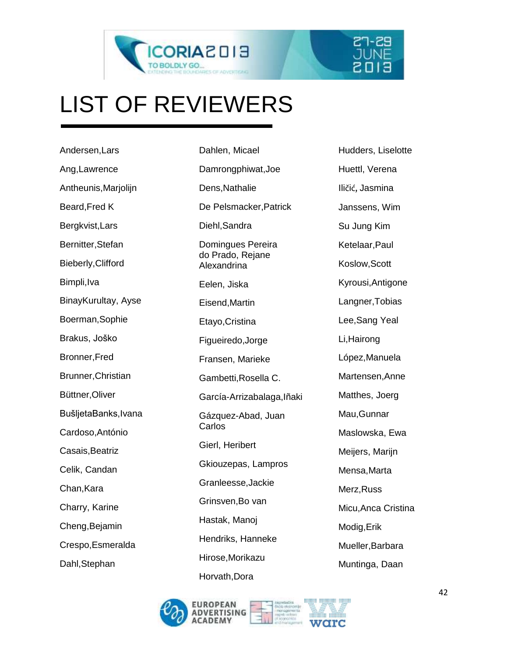



## LIST OF REVIEWERS

Andersen,Lars Ang,Lawrence Antheunis,Marjolijn Beard,Fred K Bergkvist,Lars Bernitter,Stefan Bieberly,Clifford Bimpli,Iva BinayKurultay, Ayse Boerman,Sophie Brakus, Joško Bronner,Fred Brunner,Christian Büttner,Oliver BušljetaBanks,Ivana Cardoso,António Casais,Beatriz Celik, Candan Chan,Kara Charry, Karine Cheng,Bejamin Crespo,Esmeralda Dahl,Stephan

Dahlen, Micael Damrongphiwat,Joe Dens,Nathalie De Pelsmacker,Patrick Diehl,Sandra Domingues Pereira do Prado, Rejane Alexandrina Eelen, Jiska Eisend,Martin Etayo,Cristina Figueiredo,Jorge Fransen, Marieke Gambetti,Rosella C. García-Arrizabalaga,Iñaki Gázquez-Abad, Juan **Carlos** Gierl, Heribert Gkiouzepas, Lampros Granleesse,Jackie Grinsven,Bo van Hastak, Manoj Hendriks, Hanneke Hirose,Morikazu Horvath,Dora

Hudders, Liselotte Huettl, Verena Iličić, Jasmina Janssens, Wim Su Jung Kim Ketelaar,Paul Koslow,Scott Kyrousi,Antigone Langner,Tobias Lee,Sang Yeal Li,Hairong López,Manuela Martensen,Anne Matthes, Joerg Mau,Gunnar Maslowska, Ewa Meijers, Marijn Mensa,Marta Merz,Russ Micu,Anca Cristina Modig,Erik Mueller,Barbara Muntinga, Daan

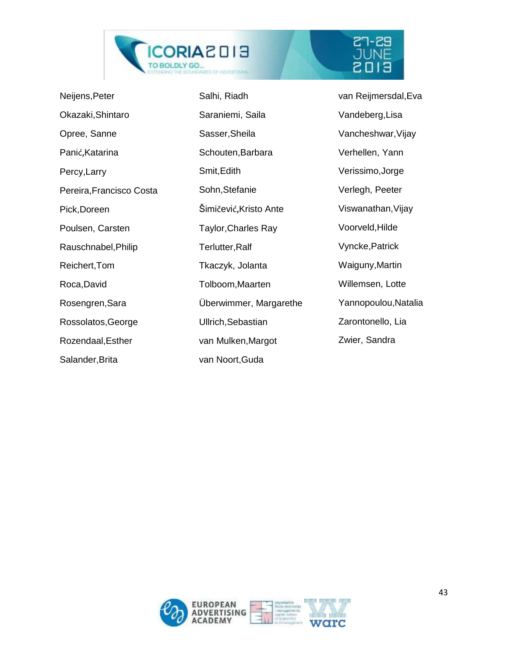

| Neijens, Peter           | Salhi, Riadh               | van Reijmersdal, Eva |
|--------------------------|----------------------------|----------------------|
| Okazaki, Shintaro        | Saraniemi, Saila           | Vandeberg, Lisa      |
| Opree, Sanne             | Sasser, Sheila             | Vancheshwar, Vijay   |
| Panić, Katarina          | Schouten, Barbara          | Verhellen, Yann      |
| Percy, Larry             | Smit, Edith                | Verissimo, Jorge     |
| Pereira, Francisco Costa | Sohn, Stefanie             | Verlegh, Peeter      |
| Pick, Doreen             | Šimičević, Kristo Ante     | Viswanathan, Vijay   |
| Poulsen, Carsten         | <b>Taylor, Charles Ray</b> | Voorveld, Hilde      |
| Rauschnabel, Philip      | Terlutter, Ralf            | Vyncke, Patrick      |
| Reichert, Tom            | Tkaczyk, Jolanta           | Waiguny, Martin      |
| Roca, David              | Tolboom, Maarten           | Willemsen, Lotte     |
| Rosengren, Sara          | Überwimmer, Margarethe     | Yannopoulou, Natalia |
| Rossolatos, George       | Ullrich, Sebastian         | Zarontonello, Lia    |
| Rozendaal, Esther        | van Mulken, Margot         | Zwier, Sandra        |
| Salander, Brita          | van Noort, Guda            |                      |

 $\begin{array}{l} \texttt{27-29} \\ \texttt{JUNE} \\ \texttt{E103} \end{array}$ 

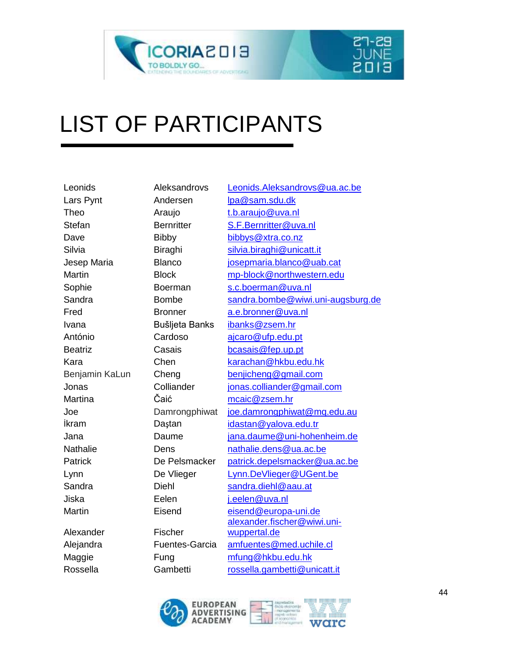



### LIST OF PARTICIPANTS

| Leonids         | Aleksandrovs          | Leonids.Aleksandrovs@ua.ac.be     |
|-----------------|-----------------------|-----------------------------------|
| Lars Pynt       | Andersen              | lpa@sam.sdu.dk                    |
| Theo            | Araujo                | t.b.araujo@uva.nl                 |
| <b>Stefan</b>   | <b>Bernritter</b>     | S.F.Bernritter@uva.nl             |
| Dave            | <b>Bibby</b>          | bibbys@xtra.co.nz                 |
| Silvia          | Biraghi               | silvia.biraghi@unicatt.it         |
| Jesep Maria     | <b>Blanco</b>         | josepmaria.blanco@uab.cat         |
| <b>Martin</b>   | <b>Block</b>          | mp-block@northwestern.edu         |
| Sophie          | <b>Boerman</b>        | s.c.boerman@uva.nl                |
| Sandra          | <b>Bombe</b>          | sandra.bombe@wiwi.uni-augsburg.de |
| Fred            | <b>Bronner</b>        | a.e.bronner@uva.nl                |
| Ivana           | Bušljeta Banks        | ibanks@zsem.hr                    |
| António         | Cardoso               | ajcaro@ufp.edu.pt                 |
| <b>Beatriz</b>  | Casais                | bcasais@fep.up.pt                 |
| Kara            | Chen                  | karachan@hkbu.edu.hk              |
| Benjamin KaLun  | Cheng                 | benjicheng@gmail.com              |
| Jonas           | Colliander            | jonas.colliander@gmail.com        |
| Martina         | Čaić                  | mcaic@zsem.hr                     |
| Joe             | Damrongphiwat         | joe.damrongphiwat@mq.edu.au       |
| ikram           | Daştan                | idastan@yalova.edu.tr             |
| Jana            | Daume                 | jana.daume@uni-hohenheim.de       |
| <b>Nathalie</b> | Dens                  | nathalie.dens@ua.ac.be            |
| Patrick         | De Pelsmacker         | patrick.depelsmacker@ua.ac.be     |
| Lynn            | De Vlieger            | Lynn.DeVlieger@UGent.be           |
| Sandra          | Diehl                 | sandra.diehl@aau.at               |
| Jiska           | Eelen                 | j.eelen@uva.nl                    |
| Martin          | Eisend                | eisend@europa-uni.de              |
|                 |                       | alexander.fischer@wiwi.uni-       |
| Alexander       | Fischer               | wuppertal.de                      |
| Alejandra       | <b>Fuentes-Garcia</b> | amfuentes@med.uchile.cl           |
| Maggie          | Fung                  | mfung@hkbu.edu.hk                 |
| Rossella        | Gambetti              | rossella.gambetti@unicatt.it      |



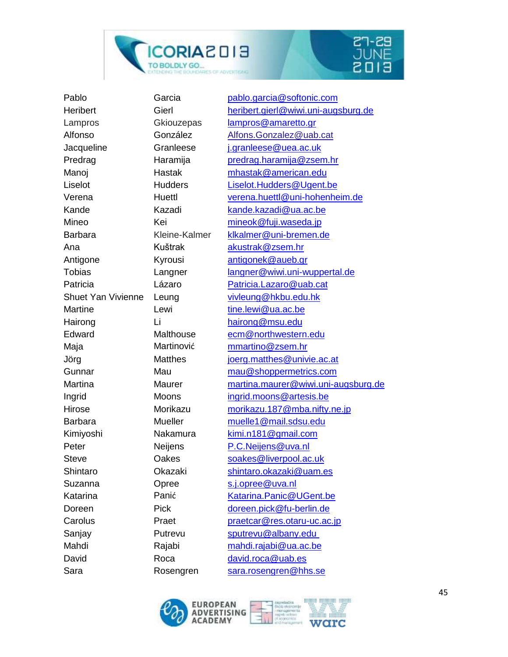



Ana Kuštrak [akustrak@zsem.hr](mailto:akustrak@zsem.hr) Martine Lewi Lewi [tine.lewi@ua.ac.be](mailto:tine.lewi@ua.ac.be) Hairong Li [hairong@msu.edu](mailto:hairong@msu.edu) Suzanna **Opree** S.j.opree@uva.nl David Roca [david.roca@uab.es](mailto:david.roca@uab.es) Sara Rosengren [sara.rosengren@hhs.se](mailto:sara.rosengren@hhs.se)

Pablo Garcia [pablo.garcia@softonic.com](mailto:pablo.garcia@softonic.com) Heribert Gierl [heribert.gierl@wiwi.uni-augsburg.de](mailto:heribert.gierl@wiwi.uni-augsburg.de) Lampros Gkiouzepas [lampros@amaretto.gr](mailto:lampros@amaretto.gr) Alfonso González [Alfons.Gonzalez@uab.cat](mailto:Alfons.Gonzalez@uab.cat) Jacqueline Granleese [j.granleese@uea.ac.uk](mailto:j.granleese@uea.ac.uk) Predrag Haramija [predrag.haramija@zsem.hr](mailto:predrag.haramija@zsem.hr) Manoj Hastak [mhastak@american.edu](mailto:mhastak@american.edu) Liselot Hudders [Liselot.Hudders@Ugent.be](mailto:Liselot.Hudders@Ugent.be) Verena Huettl [verena.huettl@uni-hohenheim.de](mailto:verena.huettl@uni-hohenheim.de) Kande Kazadi [kande.kazadi@ua.ac.be](mailto:kande.kazadi@ua.ac.be) Mineo Kei [mineok@fuji.waseda.jp](mailto:mineok@fuji.waseda.jp) Barbara Kleine-Kalmer [klkalmer@uni-bremen.de](mailto:klkalmer@uni-bremen.de) Antigone **Kyrousi** [antigonek@aueb.gr](mailto:antigonek@aueb.gr) Tobias Langner [langner@wiwi.uni-wuppertal.de](mailto:langner@wiwi.uni-wuppertal.de) Patricia Lázaro [Patricia.Lazaro@uab.cat](mailto:Patricia.Lazaro@uab.cat) Shuet Yan Vivienne Leung [vivleung@hkbu.edu.hk](mailto:vivleung@hkbu.edu.hk) Edward Malthouse [ecm@northwestern.edu](mailto:ecm@northwestern.edu) Maja Martinović [mmartino@zsem.hr](mailto:mmartino@zsem.hr) Jörg Matthes [joerg.matthes@univie.ac.at](mailto:joerg.matthes@univie.ac.at) Gunnar Mau [mau@shoppermetrics.com](mailto:mau@shoppermetrics.com) Martina Maurer [martina.maurer@wiwi.uni-augsburg.de](mailto:martina.maurer@wiwi.uni-augsburg.de) Ingrid Moons [ingrid.moons@artesis.be](mailto:ingrid.moons@artesis.be) Hirose Morikazu [morikazu.187@mba.nifty.ne.jp](mailto:morikazu.187@mba.nifty.ne.jp) Barbara Mueller [muelle1@mail.sdsu.edu](mailto:muelle1@mail.sdsu.edu) Kimiyoshi Nakamura [kimi.n181@gmail.com](mailto:kimi.n181@gmail.com) Peter Neijens [P.C.Neijens@uva.nl](mailto:P.C.Neijens@uva.nl) Steve Cakes Soakes@liverpool.ac.uk Shintaro **Okazaki** Shintaro.okazaki@uam.es Katarina Panić [Katarina.Panic@UGent.be](mailto:Katarina.Panic@UGent.be) Doreen Pick [doreen.pick@fu-berlin.de](mailto:doreen.pick@fu-berlin.de) Carolus Praet [praetcar@res.otaru-uc.ac.jp](mailto:praetcar@res.otaru-uc.ac.jp) Sanjay Putrevu [sputrevu@albany.edu](mailto:sputrevu@albany.edu) Mahdi Rajabi [mahdi.rajabi@ua.ac.be](mailto:mahdi.rajabi@ua.ac.be)



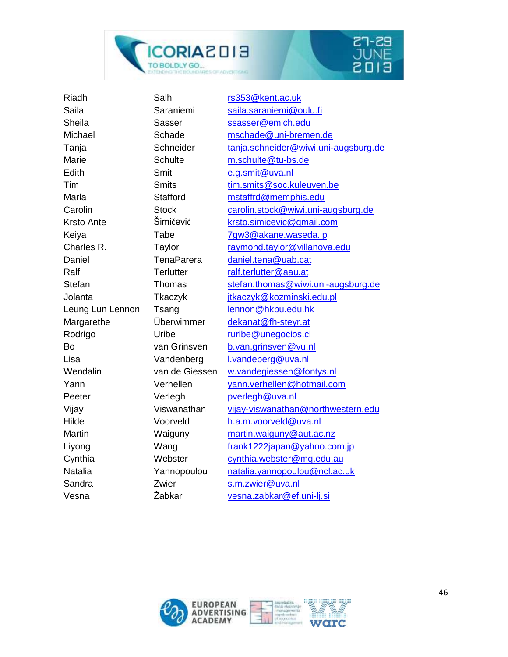



| Riadh             | Salhi             | rs353@kent.ac.uk                     |
|-------------------|-------------------|--------------------------------------|
| Saila             | Saraniemi         | saila.saraniemi@oulu.fi              |
| Sheila            | Sasser            | ssasser@emich.edu                    |
| Michael           | Schade            | mschade@uni-bremen.de                |
| Tanja             | Schneider         | tanja.schneider@wiwi.uni-augsburg.de |
| Marie             | <b>Schulte</b>    | m.schulte@tu-bs.de                   |
| Edith             | Smit              | e.g.smit@uva.nl                      |
| Tim               | <b>Smits</b>      | tim.smits@soc.kuleuven.be            |
| Marla             | <b>Stafford</b>   | mstaffrd@memphis.edu                 |
| Carolin           | <b>Stock</b>      | carolin.stock@wiwi.uni-augsburg.de   |
| <b>Krsto Ante</b> | Šimičević         | krsto.simicevic@gmail.com            |
| Keiya             | Tabe              | 7gw3@akane.waseda.jp                 |
| Charles R.        | Taylor            | raymond.taylor@villanova.edu         |
| Daniel            | <b>TenaParera</b> | daniel.tena@uab.cat                  |
| Ralf              | <b>Terlutter</b>  | ralf.terlutter@aau.at                |
| Stefan            | Thomas            | stefan.thomas@wiwi.uni-augsburg.de   |
| Jolanta           | Tkaczyk           | jtkaczyk@kozminski.edu.pl            |
| Leung Lun Lennon  | Tsang             | lennon@hkbu.edu.hk                   |
| Margarethe        | Überwimmer        | dekanat@fh-steyr.at                  |
| Rodrigo           | Uribe             | ruribe@unegocios.cl                  |
| Bo                | van Grinsven      | b.van.grinsven@vu.nl                 |
| Lisa              | Vandenberg        | I.vandeberg@uva.nl                   |
| Wendalin          | van de Giessen    | w.vandegiessen@fontys.nl             |
| Yann              | Verhellen         | yann.verhellen@hotmail.com           |
| Peeter            | Verlegh           | pverlegh@uva.nl                      |
| Vijay             | Viswanathan       | vijay-viswanathan@northwestern.edu   |
| Hilde             | Voorveld          | h.a.m.voorveld@uva.nl                |
| <b>Martin</b>     | Waiguny           | martin.waiguny@aut.ac.nz             |
| Liyong            | Wang              | frank1222japan@yahoo.com.jp          |
| Cynthia           | Webster           | cynthia.webster@mq.edu.au            |
| Natalia           | Yannopoulou       | natalia.yannopoulou@ncl.ac.uk        |
| Sandra            | Zwier             | s.m.zwier@uva.nl                     |
| Vesna             | Žabkar            | vesna.zabkar@ef.uni-lj.si            |